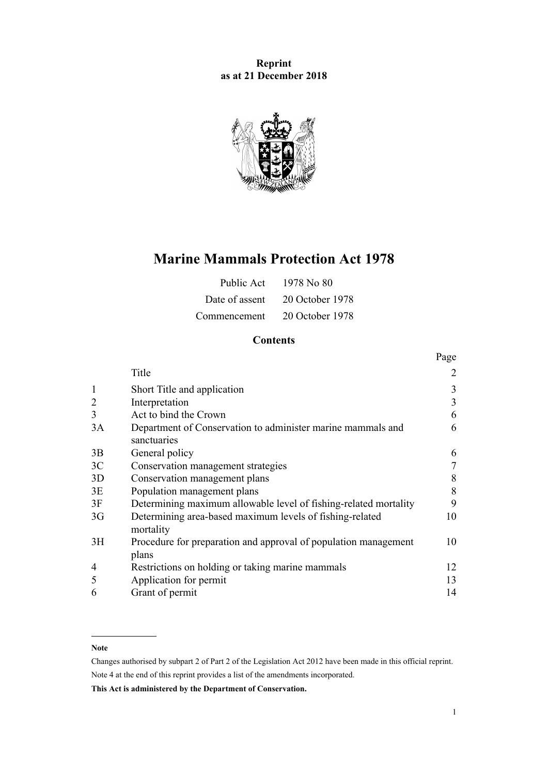## **Reprint as at 21 December 2018**



# **Marine Mammals Protection Act 1978**

| Public Act     | 1978 No 80      |
|----------------|-----------------|
| Date of assent | 20 October 1978 |
| Commencement   | 20 October 1978 |

## **Contents**

|                |                                                                          | Page |
|----------------|--------------------------------------------------------------------------|------|
|                | Title                                                                    | 2    |
| 1              | Short Title and application                                              | 3    |
| 2              | Interpretation                                                           | 3    |
| 3              | Act to bind the Crown                                                    | 6    |
| 3A             | Department of Conservation to administer marine mammals and              | 6    |
|                | sanctuaries                                                              |      |
| 3B             | General policy                                                           | 6    |
| 3C             | Conservation management strategies                                       | 7    |
| 3D             | Conservation management plans                                            | 8    |
| 3E             | Population management plans                                              | 8    |
| 3F             | Determining maximum allowable level of fishing-related mortality         | 9    |
| 3 <sub>G</sub> | Determining area-based maximum levels of fishing-related<br>mortality    | 10   |
| 3H             | Procedure for preparation and approval of population management<br>plans | 10   |
| 4              | Restrictions on holding or taking marine mammals                         | 12   |
| 5              | Application for permit                                                   | 13   |
| 6              | Grant of permit                                                          | 14   |

## **Note**

Changes authorised by [subpart 2](http://legislation.govt.nz/pdflink.aspx?id=DLM2998524) of Part 2 of the Legislation Act 2012 have been made in this official reprint. Note 4 at the end of this reprint provides a list of the amendments incorporated.

**This Act is administered by the Department of Conservation.**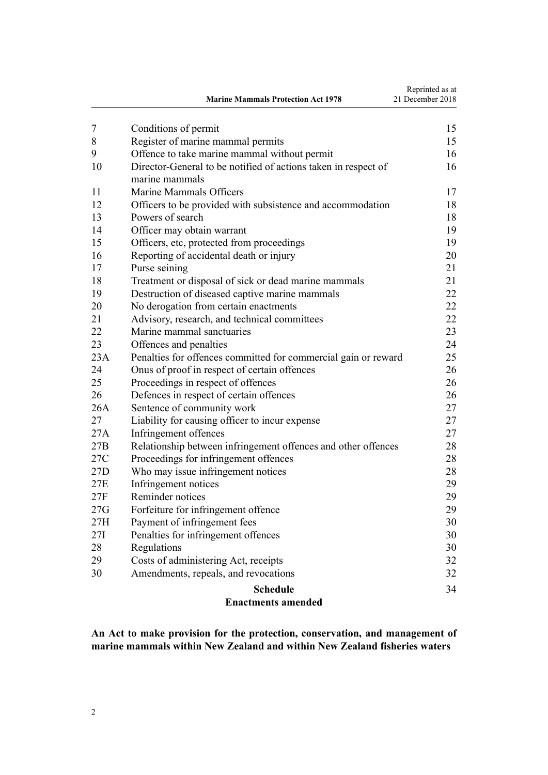<span id="page-1-0"></span>

|     | <b>Marine Mammals Protection Act 1978</b>                      | Reprinted as at<br>21 December 2018 |  |  |  |
|-----|----------------------------------------------------------------|-------------------------------------|--|--|--|
| 7   | Conditions of permit                                           | 15                                  |  |  |  |
| 8   | Register of marine mammal permits                              | 15                                  |  |  |  |
| 9   | Offence to take marine mammal without permit                   | 16                                  |  |  |  |
| 10  | Director-General to be notified of actions taken in respect of | 16                                  |  |  |  |
| 11  | marine mammals<br>Marine Mammals Officers                      | 17                                  |  |  |  |
| 12  | Officers to be provided with subsistence and accommodation     | 18                                  |  |  |  |
| 13  | Powers of search                                               | 18                                  |  |  |  |
| 14  | Officer may obtain warrant                                     | 19                                  |  |  |  |
| 15  | Officers, etc, protected from proceedings                      | 19                                  |  |  |  |
| 16  | Reporting of accidental death or injury                        | 20                                  |  |  |  |
| 17  | Purse seining                                                  | 21                                  |  |  |  |
| 18  | Treatment or disposal of sick or dead marine mammals           | 21                                  |  |  |  |
| 19  | Destruction of diseased captive marine mammals                 | 22                                  |  |  |  |
| 20  | No derogation from certain enactments                          | 22                                  |  |  |  |
| 21  | Advisory, research, and technical committees                   | 22                                  |  |  |  |
| 22  | Marine mammal sanctuaries                                      | 23                                  |  |  |  |
| 23  | Offences and penalties                                         | 24                                  |  |  |  |
| 23A | Penalties for offences committed for commercial gain or reward | 25                                  |  |  |  |
| 24  | Onus of proof in respect of certain offences                   | 26                                  |  |  |  |
| 25  | Proceedings in respect of offences                             | 26                                  |  |  |  |
| 26  | Defences in respect of certain offences                        | 26                                  |  |  |  |
| 26A | Sentence of community work                                     | 27                                  |  |  |  |
| 27  | Liability for causing officer to incur expense                 | 27                                  |  |  |  |
| 27A | Infringement offences                                          | 27                                  |  |  |  |
| 27B | Relationship between infringement offences and other offences  | 28                                  |  |  |  |
| 27C | Proceedings for infringement offences                          | 28                                  |  |  |  |
| 27D | Who may issue infringement notices                             | 28                                  |  |  |  |
| 27E | Infringement notices                                           | 29                                  |  |  |  |
| 27F | Reminder notices                                               | 29                                  |  |  |  |
| 27G | Forfeiture for infringement offence                            | 29                                  |  |  |  |
| 27H | Payment of infringement fees                                   | 30                                  |  |  |  |
| 27I | Penalties for infringement offences                            | 30                                  |  |  |  |
| 28  | Regulations                                                    | 30                                  |  |  |  |
| 29  | Costs of administering Act, receipts                           | 32                                  |  |  |  |
| 30  | Amendments, repeals, and revocations                           | 32                                  |  |  |  |
|     | <b>Schedule</b>                                                | 34                                  |  |  |  |
|     | <b>Enactments amended</b>                                      |                                     |  |  |  |

**An Act to make provision for the protection, conservation, and management of marine mammals within New Zealand and within New Zealand fisheries waters**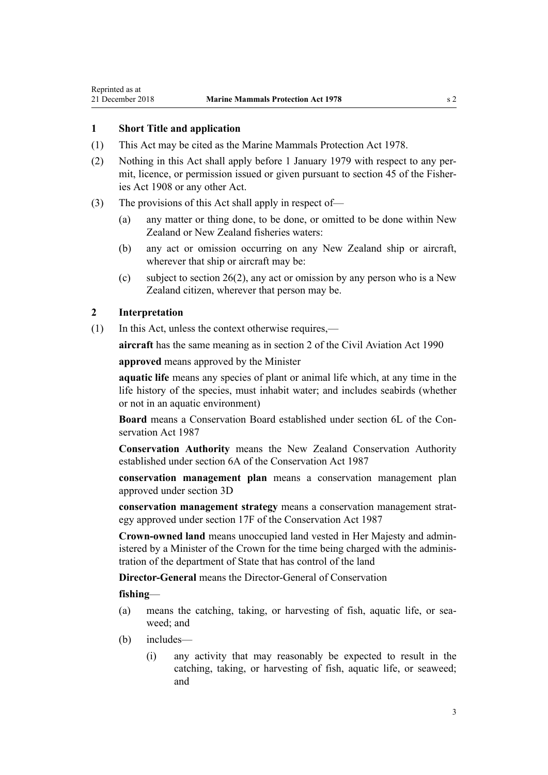## <span id="page-2-0"></span>**1 Short Title and application**

- (1) This Act may be cited as the Marine Mammals Protection Act 1978.
- (2) Nothing in this Act shall apply before 1 January 1979 with respect to any permit, licence, or permission issued or given pursuant to section 45 of the Fisheries Act 1908 or any other Act.
- (3) The provisions of this Act shall apply in respect of—
	- (a) any matter or thing done, to be done, or omitted to be done within New Zealand or New Zealand fisheries waters:
	- (b) any act or omission occurring on any New Zealand ship or aircraft, wherever that ship or aircraft may be:
	- (c) subject to [section 26\(2\),](#page-25-0) any act or omission by any person who is a New Zealand citizen, wherever that person may be.

## **2 Interpretation**

(1) In this Act, unless the context otherwise requires,—

**aircraft** has the same meaning as in [section 2](http://legislation.govt.nz/pdflink.aspx?id=DLM214692) of the Civil Aviation Act 1990

**approved** means approved by the Minister

**aquatic life** means any species of plant or animal life which, at any time in the life history of the species, must inhabit water; and includes seabirds (whether or not in an aquatic environment)

**Board** means a Conservation Board established under [section 6L](http://legislation.govt.nz/pdflink.aspx?id=DLM104213) of the Conservation Act 1987

**Conservation Authority** means the New Zealand Conservation Authority established under [section 6A](http://legislation.govt.nz/pdflink.aspx?id=DLM104086) of the Conservation Act 1987

**conservation management plan** means a conservation management plan approved under [section 3D](#page-7-0)

**conservation management strategy** means a conservation management strategy approved under [section 17F](http://legislation.govt.nz/pdflink.aspx?id=DLM104608) of the Conservation Act 1987

**Crown-owned land** means unoccupied land vested in Her Majesty and administered by a Minister of the Crown for the time being charged with the administration of the department of State that has control of the land

**Director-General** means the Director-General of Conservation

**fishing**—

- (a) means the catching, taking, or harvesting of fish, aquatic life, or seaweed; and
- (b) includes—
	- (i) any activity that may reasonably be expected to result in the catching, taking, or harvesting of fish, aquatic life, or seaweed; and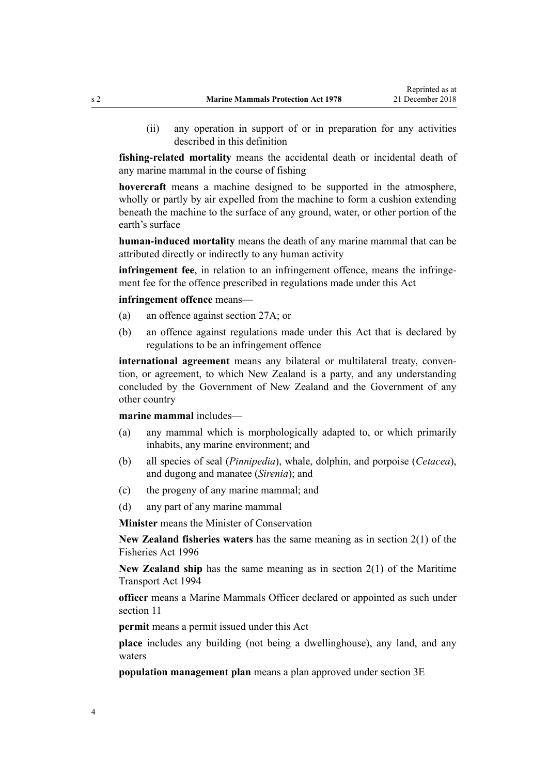(ii) any operation in support of or in preparation for any activities described in this definition

**fishing-related mortality** means the accidental death or incidental death of any marine mammal in the course of fishing

**hovercraft** means a machine designed to be supported in the atmosphere, wholly or partly by air expelled from the machine to form a cushion extending beneath the machine to the surface of any ground, water, or other portion of the earth's surface

**human-induced mortality** means the death of any marine mammal that can be attributed directly or indirectly to any human activity

**infringement fee**, in relation to an infringement offence, means the infringement fee for the offence prescribed in regulations made under this Act

**infringement offence** means—

- (a) an offence against [section 27A;](#page-26-0) or
- (b) an offence against regulations made under this Act that is declared by regulations to be an infringement offence

**international agreement** means any bilateral or multilateral treaty, convention, or agreement, to which New Zealand is a party, and any understanding concluded by the Government of New Zealand and the Government of any other country

**marine mammal** includes—

- (a) any mammal which is morphologically adapted to, or which primarily inhabits, any marine environment; and
- (b) all species of seal (*Pinnipedia*), whale, dolphin, and porpoise (*Cetacea*), and dugong and manatee (*Sirenia*); and
- (c) the progeny of any marine mammal; and
- (d) any part of any marine mammal

**Minister** means the Minister of Conservation

**New Zealand fisheries waters** has the same meaning as in [section 2\(1\)](http://legislation.govt.nz/pdflink.aspx?id=DLM394199) of the Fisheries Act 1996

**New Zealand ship** has the same meaning as in [section 2\(1\)](http://legislation.govt.nz/pdflink.aspx?id=DLM334667) of the Maritime Transport Act 1994

**officer** means a Marine Mammals Officer declared or appointed as such under [section 11](#page-16-0)

**permit** means a permit issued under this Act

**place** includes any building (not being a dwellinghouse), any land, and any waters

**population management plan** means a plan approved under [section 3E](#page-7-0)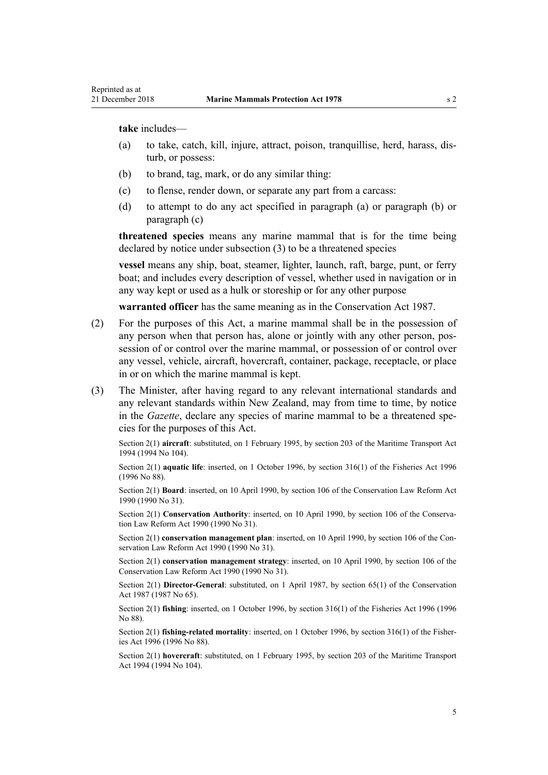**take** includes—

- (a) to take, catch, kill, injure, attract, poison, tranquillise, herd, harass, disturb, or possess:
- (b) to brand, tag, mark, or do any similar thing:
- (c) to flense, render down, or separate any part from a carcass:
- (d) to attempt to do any act specified in paragraph (a) or paragraph (b) or paragraph (c)

**threatened species** means any marine mammal that is for the time being declared by notice under subsection (3) to be a threatened species

**vessel** means any ship, boat, steamer, lighter, launch, raft, barge, punt, or ferry boat; and includes every description of vessel, whether used in navigation or in any way kept or used as a hulk or storeship or for any other purpose

**warranted officer** has the same meaning as in the [Conservation Act 1987.](http://legislation.govt.nz/pdflink.aspx?id=DLM103609)

- (2) For the purposes of this Act, a marine mammal shall be in the possession of any person when that person has, alone or jointly with any other person, possession of or control over the marine mammal, or possession of or control over any vessel, vehicle, aircraft, hovercraft, container, package, receptacle, or place in or on which the marine mammal is kept.
- (3) The Minister, after having regard to any relevant international standards and any relevant standards within New Zealand, may from time to time, by notice in the *Gazette*, declare any species of marine mammal to be a threatened species for the purposes of this Act.

Section 2(1) **aircraft**: substituted, on 1 February 1995, by [section 203](http://legislation.govt.nz/pdflink.aspx?id=DLM336920) of the Maritime Transport Act 1994 (1994 No 104).

Section 2(1) **aquatic life**: inserted, on 1 October 1996, by [section 316\(1\)](http://legislation.govt.nz/pdflink.aspx?id=DLM399975) of the Fisheries Act 1996 (1996 No 88).

Section 2(1) **Board**: inserted, on 10 April 1990, by [section 106](http://legislation.govt.nz/pdflink.aspx?id=DLM209173) of the Conservation Law Reform Act 1990 (1990 No 31).

Section 2(1) **Conservation Authority**: inserted, on 10 April 1990, by [section 106](http://legislation.govt.nz/pdflink.aspx?id=DLM209173) of the Conservation Law Reform Act 1990 (1990 No 31).

Section 2(1) **conservation management plan**: inserted, on 10 April 1990, by [section 106](http://legislation.govt.nz/pdflink.aspx?id=DLM209173) of the Conservation Law Reform Act 1990 (1990 No 31).

Section 2(1) **conservation management strategy**: inserted, on 10 April 1990, by [section 106](http://legislation.govt.nz/pdflink.aspx?id=DLM209173) of the Conservation Law Reform Act 1990 (1990 No 31).

Section 2(1) **Director-General**: substituted, on 1 April 1987, by [section 65\(1\)](http://legislation.govt.nz/pdflink.aspx?id=DLM106995) of the Conservation Act 1987 (1987 No 65).

Section 2(1) **fishing**: inserted, on 1 October 1996, by [section 316\(1\)](http://legislation.govt.nz/pdflink.aspx?id=DLM399975) of the Fisheries Act 1996 (1996 No 88).

Section 2(1) **fishing-related mortality**: inserted, on 1 October 1996, by [section 316\(1\)](http://legislation.govt.nz/pdflink.aspx?id=DLM399975) of the Fisheries Act 1996 (1996 No 88).

Section 2(1) **hovercraft**: substituted, on 1 February 1995, by [section 203](http://legislation.govt.nz/pdflink.aspx?id=DLM336920) of the Maritime Transport Act 1994 (1994 No 104).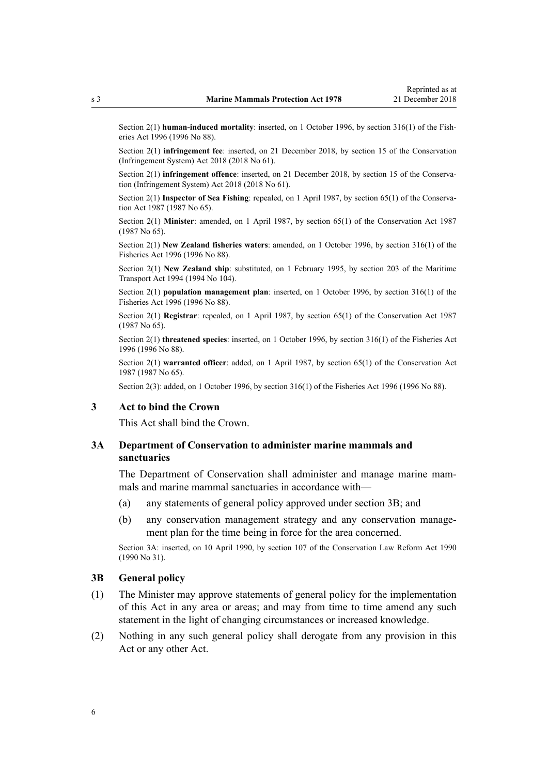<span id="page-5-0"></span>Section 2(1) **human-induced mortality**: inserted, on 1 October 1996, by [section 316\(1\)](http://legislation.govt.nz/pdflink.aspx?id=DLM399975) of the Fisheries Act 1996 (1996 No 88).

Section 2(1) **infringement fee**: inserted, on 21 December 2018, by [section 15](http://legislation.govt.nz/pdflink.aspx?id=DLM7116189) of the Conservation (Infringement System) Act 2018 (2018 No 61).

Section 2(1) **infringement offence**: inserted, on 21 December 2018, by [section 15](http://legislation.govt.nz/pdflink.aspx?id=DLM7116189) of the Conservation (Infringement System) Act 2018 (2018 No 61).

Section 2(1) **Inspector of Sea Fishing**: repealed, on 1 April 1987, by [section 65\(1\)](http://legislation.govt.nz/pdflink.aspx?id=DLM106995) of the Conservation Act 1987 (1987 No 65).

Section 2(1) **Minister**: amended, on 1 April 1987, by [section 65\(1\)](http://legislation.govt.nz/pdflink.aspx?id=DLM106995) of the Conservation Act 1987 (1987 No 65).

Section 2(1) **New Zealand fisheries waters**: amended, on 1 October 1996, by [section 316\(1\)](http://legislation.govt.nz/pdflink.aspx?id=DLM399975) of the Fisheries Act 1996 (1996 No 88).

Section 2(1) **New Zealand ship**: substituted, on 1 February 1995, by [section 203](http://legislation.govt.nz/pdflink.aspx?id=DLM336920) of the Maritime Transport Act 1994 (1994 No 104).

Section 2(1) **population management plan**: inserted, on 1 October 1996, by [section 316\(1\)](http://legislation.govt.nz/pdflink.aspx?id=DLM399975) of the Fisheries Act 1996 (1996 No 88).

Section 2(1) **Registrar**: repealed, on 1 April 1987, by [section 65\(1\)](http://legislation.govt.nz/pdflink.aspx?id=DLM106995) of the Conservation Act 1987 (1987 No 65).

Section 2(1) **threatened species**: inserted, on 1 October 1996, by [section 316\(1\)](http://legislation.govt.nz/pdflink.aspx?id=DLM399975) of the Fisheries Act 1996 (1996 No 88).

Section 2(1) **warranted officer**: added, on 1 April 1987, by [section 65\(1\)](http://legislation.govt.nz/pdflink.aspx?id=DLM106995) of the Conservation Act 1987 (1987 No 65).

Section 2(3): added, on 1 October 1996, by [section 316\(1\)](http://legislation.govt.nz/pdflink.aspx?id=DLM399975) of the Fisheries Act 1996 (1996 No 88).

## **3 Act to bind the Crown**

This Act shall bind the Crown.

## **3A Department of Conservation to administer marine mammals and sanctuaries**

The Department of Conservation shall administer and manage marine mammals and marine mammal sanctuaries in accordance with—

- (a) any statements of general policy approved under section 3B; and
- (b) any conservation management strategy and any conservation management plan for the time being in force for the area concerned.

Section 3A: inserted, on 10 April 1990, by [section 107](http://legislation.govt.nz/pdflink.aspx?id=DLM209182) of the Conservation Law Reform Act 1990 (1990 No 31).

## **3B General policy**

- (1) The Minister may approve statements of general policy for the implementation of this Act in any area or areas; and may from time to time amend any such statement in the light of changing circumstances or increased knowledge.
- (2) Nothing in any such general policy shall derogate from any provision in this Act or any other Act.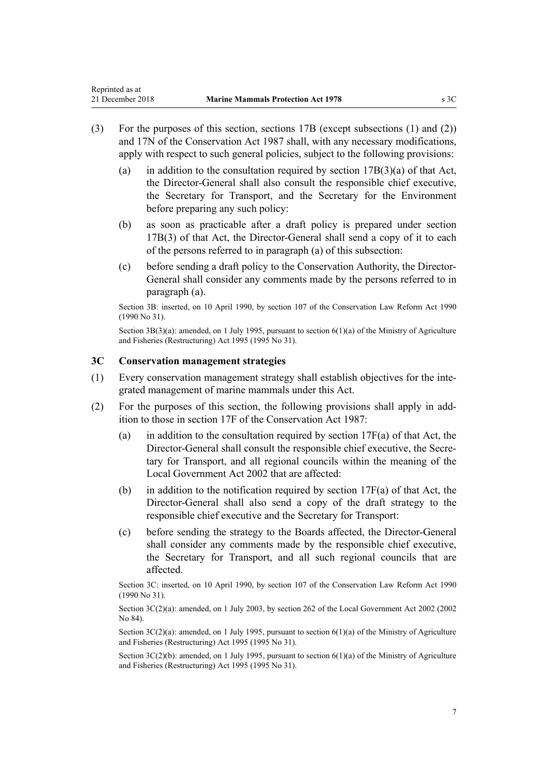- (3) For the purposes of this section, [sections 17B](http://legislation.govt.nz/pdflink.aspx?id=DLM104294) (except subsections (1) and (2)) and [17N](http://legislation.govt.nz/pdflink.aspx?id=DLM104629) of the Conservation Act 1987 shall, with any necessary modifications, apply with respect to such general policies, subject to the following provisions:
	- (a) in addition to the consultation required by section  $17B(3)(a)$  of that Act, the Director-General shall also consult the responsible chief executive, the Secretary for Transport, and the Secretary for the Environment before preparing any such policy:
	- (b) as soon as practicable after a draft policy is prepared under [section](http://legislation.govt.nz/pdflink.aspx?id=DLM104294) [17B\(3\)](http://legislation.govt.nz/pdflink.aspx?id=DLM104294) of that Act, the Director-General shall send a copy of it to each of the persons referred to in paragraph (a) of this subsection:
	- (c) before sending a draft policy to the Conservation Authority, the Director-General shall consider any comments made by the persons referred to in paragraph (a).

Section 3B: inserted, on 10 April 1990, by [section 107](http://legislation.govt.nz/pdflink.aspx?id=DLM209182) of the Conservation Law Reform Act 1990 (1990 No 31).

Section  $3B(3)(a)$ : amended, on 1 July 1995, pursuant to section  $6(1)(a)$  of the Ministry of Agriculture and Fisheries (Restructuring) Act 1995 (1995 No 31).

## **3C Conservation management strategies**

<span id="page-6-0"></span>Reprinted as at

- (1) Every conservation management strategy shall establish objectives for the integrated management of marine mammals under this Act.
- (2) For the purposes of this section, the following provisions shall apply in addition to those in [section 17F](http://legislation.govt.nz/pdflink.aspx?id=DLM104608) of the Conservation Act 1987:
	- (a) in addition to the consultation required by section  $17F(a)$  of that Act, the Director-General shall consult the responsible chief executive, the Secretary for Transport, and all regional councils within the meaning of the [Local Government Act 2002](http://legislation.govt.nz/pdflink.aspx?id=DLM170872) that are affected:
	- (b) in addition to the notification required by section  $17F(a)$  of that Act, the Director-General shall also send a copy of the draft strategy to the responsible chief executive and the Secretary for Transport:
	- (c) before sending the strategy to the Boards affected, the Director-General shall consider any comments made by the responsible chief executive, the Secretary for Transport, and all such regional councils that are affected.

Section 3C: inserted, on 10 April 1990, by [section 107](http://legislation.govt.nz/pdflink.aspx?id=DLM209182) of the Conservation Law Reform Act 1990 (1990 No 31).

Section 3C(2)(a): amended, on 1 July 2003, by [section 262](http://legislation.govt.nz/pdflink.aspx?id=DLM174088) of the Local Government Act 2002 (2002) No 84).

Section 3C(2)(a): amended, on 1 July 1995, pursuant to [section 6\(1\)\(a\)](http://legislation.govt.nz/pdflink.aspx?id=DLM366838) of the Ministry of Agriculture and Fisheries (Restructuring) Act 1995 (1995 No 31).

Section  $3C(2)(b)$ : amended, on 1 July 1995, pursuant to section  $6(1)(a)$  of the Ministry of Agriculture and Fisheries (Restructuring) Act 1995 (1995 No 31).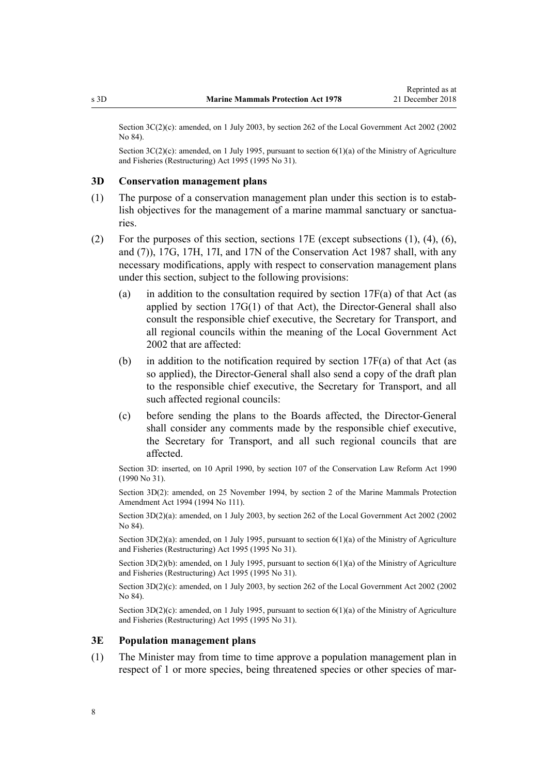<span id="page-7-0"></span>Section 3C(2)(c): amended, on 1 July 2003, by [section 262](http://legislation.govt.nz/pdflink.aspx?id=DLM174088) of the Local Government Act 2002 (2002) No 84).

Section 3C(2)(c): amended, on 1 July 1995, pursuant to [section 6\(1\)\(a\)](http://legislation.govt.nz/pdflink.aspx?id=DLM366838) of the Ministry of Agriculture and Fisheries (Restructuring) Act 1995 (1995 No 31).

#### **3D Conservation management plans**

- (1) The purpose of a conservation management plan under this section is to establish objectives for the management of a marine mammal sanctuary or sanctuaries.
- (2) For the purposes of this section, [sections 17E](http://legislation.govt.nz/pdflink.aspx?id=DLM104603) (except subsections (1), (4), (6), and (7)), [17G](http://legislation.govt.nz/pdflink.aspx?id=DLM104611), [17H,](http://legislation.govt.nz/pdflink.aspx?id=DLM104613) [17I](http://legislation.govt.nz/pdflink.aspx?id=DLM104615), and [17N](http://legislation.govt.nz/pdflink.aspx?id=DLM104629) of the Conservation Act 1987 shall, with any necessary modifications, apply with respect to conservation management plans under this section, subject to the following provisions:
	- (a) in addition to the consultation required by section  $17F(a)$  of that Act (as applied by section  $17G(1)$  of that Act), the Director-General shall also consult the responsible chief executive, the Secretary for Transport, and all regional councils within the meaning of the [Local Government Act](http://legislation.govt.nz/pdflink.aspx?id=DLM170872) [2002](http://legislation.govt.nz/pdflink.aspx?id=DLM170872) that are affected:
	- (b) in addition to the notification required by section  $17F(a)$  of that Act (as so applied), the Director-General shall also send a copy of the draft plan to the responsible chief executive, the Secretary for Transport, and all such affected regional councils:
	- (c) before sending the plans to the Boards affected, the Director-General shall consider any comments made by the responsible chief executive, the Secretary for Transport, and all such regional councils that are affected.

Section 3D: inserted, on 10 April 1990, by [section 107](http://legislation.govt.nz/pdflink.aspx?id=DLM209182) of the Conservation Law Reform Act 1990 (1990 No 31).

Section 3D(2): amended, on 25 November 1994, by section 2 of the Marine Mammals Protection Amendment Act 1994 (1994 No 111).

Section 3D(2)(a): amended, on 1 July 2003, by [section 262](http://legislation.govt.nz/pdflink.aspx?id=DLM174088) of the Local Government Act 2002 (2002 No 84).

Section  $3D(2)(a)$ : amended, on 1 July 1995, pursuant to section  $6(1)(a)$  of the Ministry of Agriculture and Fisheries (Restructuring) Act 1995 (1995 No 31).

Section 3D(2)(b): amended, on 1 July 1995, pursuant to [section 6\(1\)\(a\)](http://legislation.govt.nz/pdflink.aspx?id=DLM366838) of the Ministry of Agriculture and Fisheries (Restructuring) Act 1995 (1995 No 31).

Section 3D(2)(c): amended, on 1 July 2003, by [section 262](http://legislation.govt.nz/pdflink.aspx?id=DLM174088) of the Local Government Act 2002 (2002) No 84).

Section  $3D(2)(c)$ : amended, on 1 July 1995, pursuant to section  $6(1)(a)$  of the Ministry of Agriculture and Fisheries (Restructuring) Act 1995 (1995 No 31).

#### **3E Population management plans**

(1) The Minister may from time to time approve a population management plan in respect of 1 or more species, being threatened species or other species of mar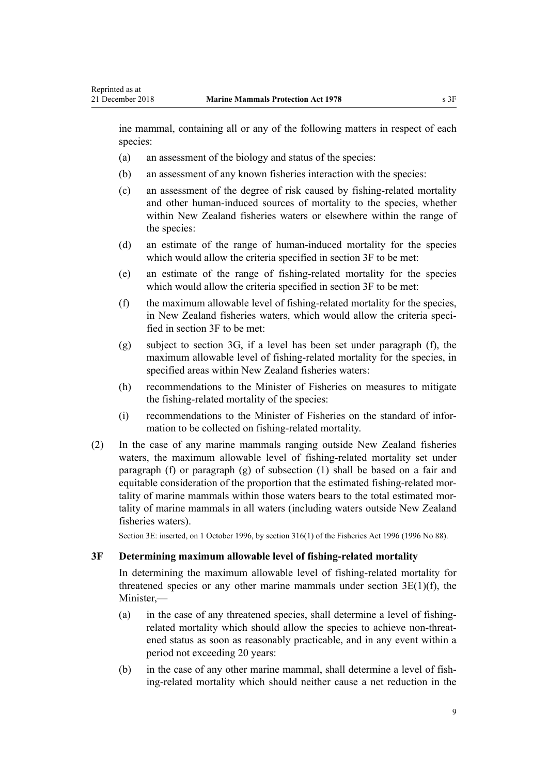<span id="page-8-0"></span>ine mammal, containing all or any of the following matters in respect of each species:

- (a) an assessment of the biology and status of the species:
- (b) an assessment of any known fisheries interaction with the species:
- (c) an assessment of the degree of risk caused by fishing-related mortality and other human-induced sources of mortality to the species, whether within New Zealand fisheries waters or elsewhere within the range of the species:
- (d) an estimate of the range of human-induced mortality for the species which would allow the criteria specified in section 3F to be met:
- (e) an estimate of the range of fishing-related mortality for the species which would allow the criteria specified in section 3F to be met:
- (f) the maximum allowable level of fishing-related mortality for the species, in New Zealand fisheries waters, which would allow the criteria specified in section 3F to be met:
- (g) subject to [section 3G](#page-9-0), if a level has been set under paragraph (f), the maximum allowable level of fishing-related mortality for the species, in specified areas within New Zealand fisheries waters:
- (h) recommendations to the Minister of Fisheries on measures to mitigate the fishing-related mortality of the species:
- (i) recommendations to the Minister of Fisheries on the standard of information to be collected on fishing-related mortality.
- (2) In the case of any marine mammals ranging outside New Zealand fisheries waters, the maximum allowable level of fishing-related mortality set under paragraph (f) or paragraph (g) of subsection (1) shall be based on a fair and equitable consideration of the proportion that the estimated fishing-related mortality of marine mammals within those waters bears to the total estimated mortality of marine mammals in all waters (including waters outside New Zealand fisheries waters).

Section 3E: inserted, on 1 October 1996, by [section 316\(1\)](http://legislation.govt.nz/pdflink.aspx?id=DLM399975) of the Fisheries Act 1996 (1996 No 88).

## **3F Determining maximum allowable level of fishing-related mortality**

In determining the maximum allowable level of fishing-related mortality for threatened species or any other marine mammals under section  $3E(1)(f)$ , the Minister,—

- (a) in the case of any threatened species, shall determine a level of fishingrelated mortality which should allow the species to achieve non-threatened status as soon as reasonably practicable, and in any event within a period not exceeding 20 years:
- (b) in the case of any other marine mammal, shall determine a level of fishing-related mortality which should neither cause a net reduction in the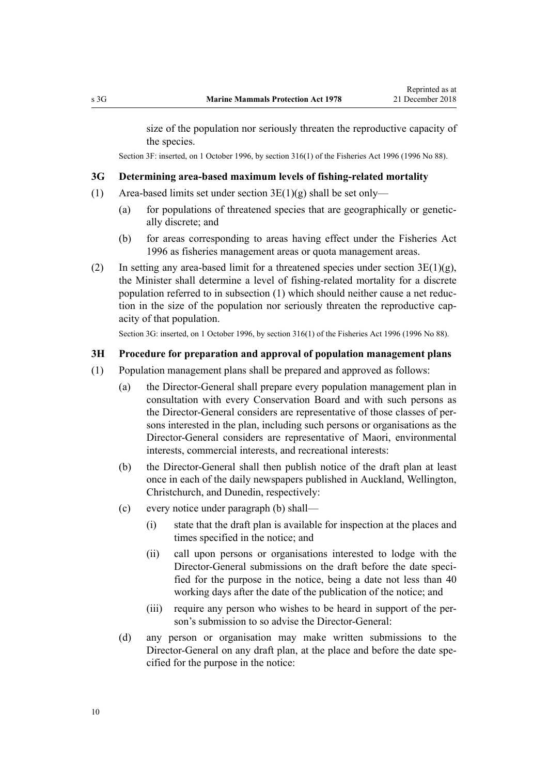<span id="page-9-0"></span>size of the population nor seriously threaten the reproductive capacity of the species.

Section 3F: inserted, on 1 October 1996, by [section 316\(1\)](http://legislation.govt.nz/pdflink.aspx?id=DLM399975) of the Fisheries Act 1996 (1996 No 88).

## **3G Determining area-based maximum levels of fishing-related mortality**

- (1) Area-based limits set under section  $3E(1)(g)$  shall be set only—
	- (a) for populations of threatened species that are geographically or genetically discrete; and
	- (b) for areas corresponding to areas having effect under the [Fisheries Act](http://legislation.govt.nz/pdflink.aspx?id=DLM394191) [1996](http://legislation.govt.nz/pdflink.aspx?id=DLM394191) as fisheries management areas or quota management areas.
- (2) In setting any area-based limit for a threatened species under section  $3E(1)(g)$ , the Minister shall determine a level of fishing-related mortality for a discrete population referred to in subsection (1) which should neither cause a net reduction in the size of the population nor seriously threaten the reproductive capacity of that population.

Section 3G: inserted, on 1 October 1996, by [section 316\(1\)](http://legislation.govt.nz/pdflink.aspx?id=DLM399975) of the Fisheries Act 1996 (1996 No 88).

#### **3H Procedure for preparation and approval of population management plans**

- (1) Population management plans shall be prepared and approved as follows:
	- (a) the Director-General shall prepare every population management plan in consultation with every Conservation Board and with such persons as the Director-General considers are representative of those classes of persons interested in the plan, including such persons or organisations as the Director-General considers are representative of Maori, environmental interests, commercial interests, and recreational interests:
	- (b) the Director-General shall then publish notice of the draft plan at least once in each of the daily newspapers published in Auckland, Wellington, Christchurch, and Dunedin, respectively:
	- (c) every notice under paragraph (b) shall—
		- (i) state that the draft plan is available for inspection at the places and times specified in the notice; and
		- (ii) call upon persons or organisations interested to lodge with the Director-General submissions on the draft before the date specified for the purpose in the notice, being a date not less than 40 working days after the date of the publication of the notice; and
		- (iii) require any person who wishes to be heard in support of the person's submission to so advise the Director-General:
	- (d) any person or organisation may make written submissions to the Director-General on any draft plan, at the place and before the date specified for the purpose in the notice: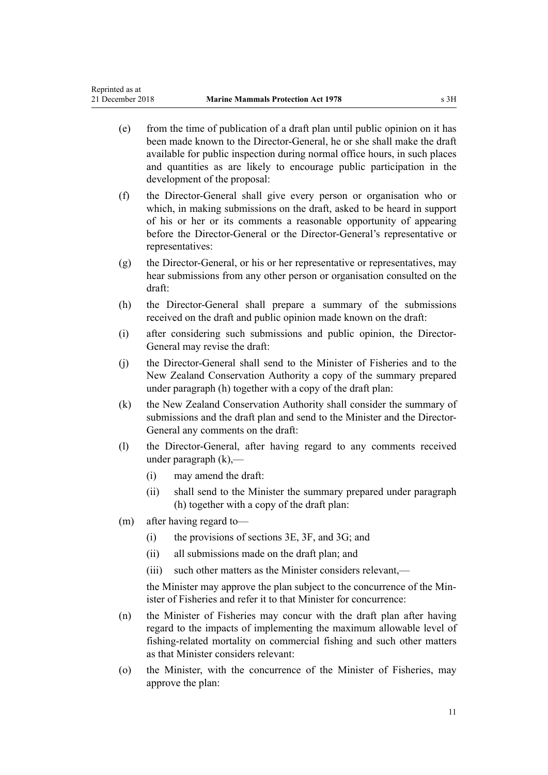Reprinted as at

- (e) from the time of publication of a draft plan until public opinion on it has been made known to the Director-General, he or she shall make the draft available for public inspection during normal office hours, in such places and quantities as are likely to encourage public participation in the development of the proposal:
- (f) the Director-General shall give every person or organisation who or which, in making submissions on the draft, asked to be heard in support of his or her or its comments a reasonable opportunity of appearing before the Director-General or the Director-General's representative or representatives:
- (g) the Director-General, or his or her representative or representatives, may hear submissions from any other person or organisation consulted on the draft:
- (h) the Director-General shall prepare a summary of the submissions received on the draft and public opinion made known on the draft:
- (i) after considering such submissions and public opinion, the Director-General may revise the draft:
- (j) the Director-General shall send to the Minister of Fisheries and to the New Zealand Conservation Authority a copy of the summary prepared under paragraph (h) together with a copy of the draft plan:
- (k) the New Zealand Conservation Authority shall consider the summary of submissions and the draft plan and send to the Minister and the Director-General any comments on the draft:
- (l) the Director-General, after having regard to any comments received under paragraph (k),—
	- (i) may amend the draft:
	- (ii) shall send to the Minister the summary prepared under paragraph (h) together with a copy of the draft plan:
- (m) after having regard to—
	- (i) the provisions of [sections 3E](#page-7-0), [3F,](#page-8-0) and [3G](#page-9-0); and
	- (ii) all submissions made on the draft plan; and
	- (iii) such other matters as the Minister considers relevant,—

the Minister may approve the plan subject to the concurrence of the Minister of Fisheries and refer it to that Minister for concurrence:

- (n) the Minister of Fisheries may concur with the draft plan after having regard to the impacts of implementing the maximum allowable level of fishing-related mortality on commercial fishing and such other matters as that Minister considers relevant:
- (o) the Minister, with the concurrence of the Minister of Fisheries, may approve the plan: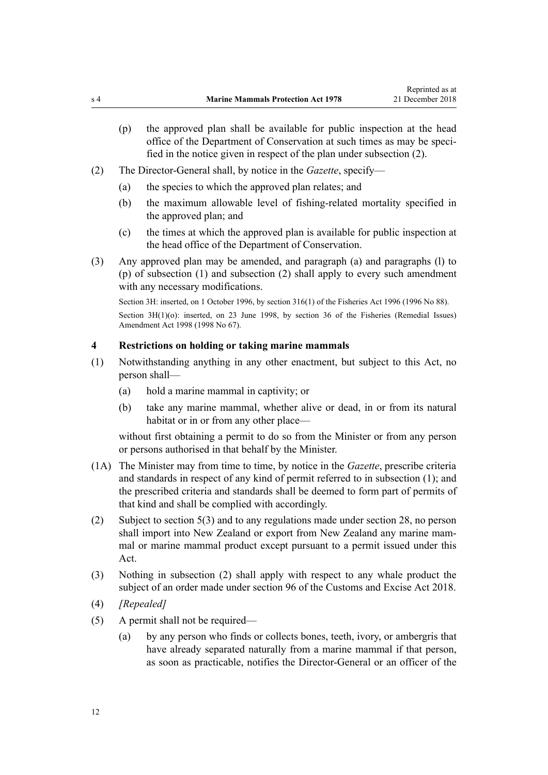- <span id="page-11-0"></span>(p) the approved plan shall be available for public inspection at the head office of the Department of Conservation at such times as may be specified in the notice given in respect of the plan under subsection (2).
- (2) The Director-General shall, by notice in the *Gazette*, specify—
	- (a) the species to which the approved plan relates; and
	- (b) the maximum allowable level of fishing-related mortality specified in the approved plan; and
	- (c) the times at which the approved plan is available for public inspection at the head office of the Department of Conservation.
- (3) Any approved plan may be amended, and paragraph (a) and paragraphs (l) to (p) of subsection (1) and subsection (2) shall apply to every such amendment with any necessary modifications.

Section 3H: inserted, on 1 October 1996, by [section 316\(1\)](http://legislation.govt.nz/pdflink.aspx?id=DLM399975) of the Fisheries Act 1996 (1996 No 88). Section 3H(1)(o): inserted, on 23 June 1998, by [section 36](http://legislation.govt.nz/pdflink.aspx?id=DLM427273) of the Fisheries (Remedial Issues) Amendment Act 1998 (1998 No 67).

#### **4 Restrictions on holding or taking marine mammals**

- (1) Notwithstanding anything in any other enactment, but subject to this Act, no person shall—
	- (a) hold a marine mammal in captivity; or
	- (b) take any marine mammal, whether alive or dead, in or from its natural habitat or in or from any other place—

without first obtaining a permit to do so from the Minister or from any person or persons authorised in that behalf by the Minister.

- (1A) The Minister may from time to time, by notice in the *Gazette*, prescribe criteria and standards in respect of any kind of permit referred to in subsection (1); and the prescribed criteria and standards shall be deemed to form part of permits of that kind and shall be complied with accordingly.
- (2) Subject to [section 5\(3\)](#page-12-0) and to any regulations made under [section 28](#page-29-0), no person shall import into New Zealand or export from New Zealand any marine mammal or marine mammal product except pursuant to a permit issued under this Act.
- (3) Nothing in subsection (2) shall apply with respect to any whale product the subject of an order made under [section 96](http://legislation.govt.nz/pdflink.aspx?id=DLM7039309) of the Customs and Excise Act 2018.
- (4) *[Repealed]*
- (5) A permit shall not be required—
	- (a) by any person who finds or collects bones, teeth, ivory, or ambergris that have already separated naturally from a marine mammal if that person, as soon as practicable, notifies the Director-General or an officer of the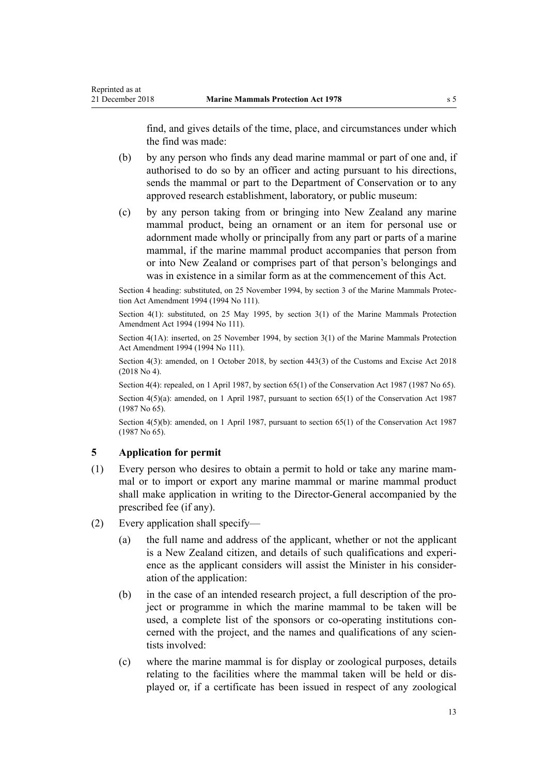<span id="page-12-0"></span>find, and gives details of the time, place, and circumstances under which the find was made:

- (b) by any person who finds any dead marine mammal or part of one and, if authorised to do so by an officer and acting pursuant to his directions, sends the mammal or part to the Department of Conservation or to any approved research establishment, laboratory, or public museum:
- (c) by any person taking from or bringing into New Zealand any marine mammal product, being an ornament or an item for personal use or adornment made wholly or principally from any part or parts of a marine mammal, if the marine mammal product accompanies that person from or into New Zealand or comprises part of that person's belongings and was in existence in a similar form as at the commencement of this Act.

Section 4 heading: substituted, on 25 November 1994, by section 3 of the Marine Mammals Protection Act Amendment 1994 (1994 No 111).

Section 4(1): substituted, on 25 May 1995, by section 3(1) of the Marine Mammals Protection Amendment Act 1994 (1994 No 111).

Section 4(1A): inserted, on 25 November 1994, by section 3(1) of the Marine Mammals Protection Act Amendment 1994 (1994 No 111).

Section 4(3): amended, on 1 October 2018, by [section 443\(3\)](http://legislation.govt.nz/pdflink.aspx?id=DLM7039957) of the Customs and Excise Act 2018 (2018 No 4).

Section 4(4): repealed, on 1 April 1987, by [section 65\(1\)](http://legislation.govt.nz/pdflink.aspx?id=DLM106995) of the Conservation Act 1987 (1987 No 65).

Section  $4(5)(a)$ : amended, on 1 April 1987, pursuant to [section 65\(1\)](http://legislation.govt.nz/pdflink.aspx?id=DLM106995) of the Conservation Act 1987 (1987 No 65).

Section 4(5)(b): amended, on 1 April 1987, pursuant to [section 65\(1\)](http://legislation.govt.nz/pdflink.aspx?id=DLM106995) of the Conservation Act 1987 (1987 No 65).

## **5 Application for permit**

- (1) Every person who desires to obtain a permit to hold or take any marine mammal or to import or export any marine mammal or marine mammal product shall make application in writing to the Director-General accompanied by the prescribed fee (if any).
- (2) Every application shall specify—
	- (a) the full name and address of the applicant, whether or not the applicant is a New Zealand citizen, and details of such qualifications and experience as the applicant considers will assist the Minister in his consideration of the application:
	- (b) in the case of an intended research project, a full description of the project or programme in which the marine mammal to be taken will be used, a complete list of the sponsors or co-operating institutions concerned with the project, and the names and qualifications of any scientists involved:
	- (c) where the marine mammal is for display or zoological purposes, details relating to the facilities where the mammal taken will be held or displayed or, if a certificate has been issued in respect of any zoological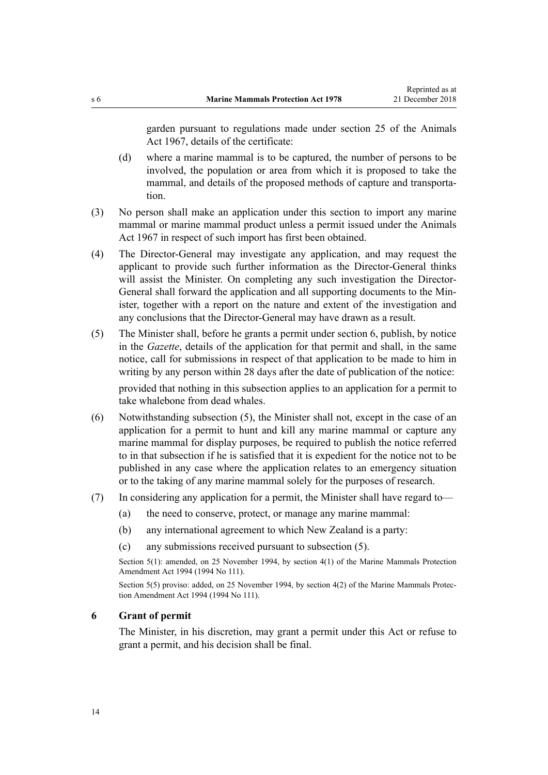<span id="page-13-0"></span>garden pursuant to regulations made under section 25 of the Animals Act 1967, details of the certificate:

- (d) where a marine mammal is to be captured, the number of persons to be involved, the population or area from which it is proposed to take the mammal, and details of the proposed methods of capture and transportation.
- (3) No person shall make an application under this section to import any marine mammal or marine mammal product unless a permit issued under the Animals Act 1967 in respect of such import has first been obtained.
- (4) The Director-General may investigate any application, and may request the applicant to provide such further information as the Director-General thinks will assist the Minister. On completing any such investigation the Director-General shall forward the application and all supporting documents to the Minister, together with a report on the nature and extent of the investigation and any conclusions that the Director-General may have drawn as a result.
- (5) The Minister shall, before he grants a permit under section 6, publish, by notice in the *Gazette*, details of the application for that permit and shall, in the same notice, call for submissions in respect of that application to be made to him in writing by any person within 28 days after the date of publication of the notice:

provided that nothing in this subsection applies to an application for a permit to take whalebone from dead whales.

- (6) Notwithstanding subsection (5), the Minister shall not, except in the case of an application for a permit to hunt and kill any marine mammal or capture any marine mammal for display purposes, be required to publish the notice referred to in that subsection if he is satisfied that it is expedient for the notice not to be published in any case where the application relates to an emergency situation or to the taking of any marine mammal solely for the purposes of research.
- (7) In considering any application for a permit, the Minister shall have regard to—
	- (a) the need to conserve, protect, or manage any marine mammal:
	- (b) any international agreement to which New Zealand is a party:
	- (c) any submissions received pursuant to subsection (5).

Section 5(1): amended, on 25 November 1994, by section 4(1) of the Marine Mammals Protection Amendment Act 1994 (1994 No 111).

Section 5(5) proviso: added, on 25 November 1994, by section 4(2) of the Marine Mammals Protection Amendment Act 1994 (1994 No 111).

## **6 Grant of permit**

The Minister, in his discretion, may grant a permit under this Act or refuse to grant a permit, and his decision shall be final.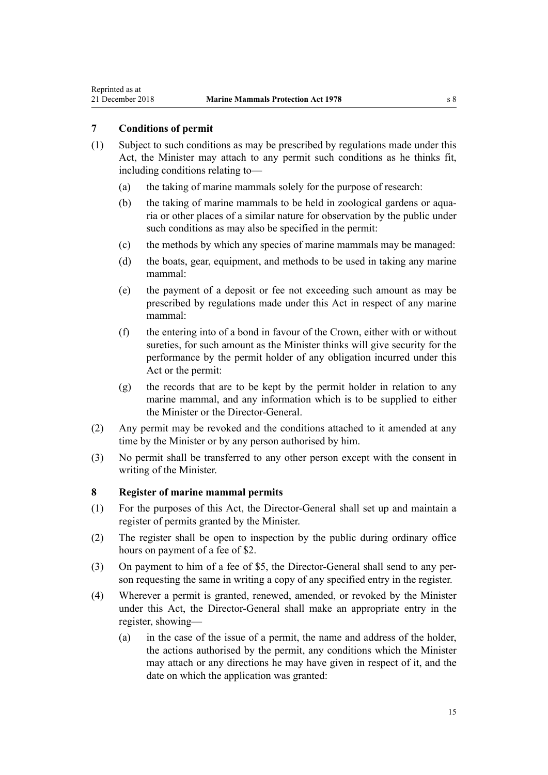## <span id="page-14-0"></span>**7 Conditions of permit**

- (1) Subject to such conditions as may be prescribed by regulations made under this Act, the Minister may attach to any permit such conditions as he thinks fit, including conditions relating to—
	- (a) the taking of marine mammals solely for the purpose of research:
	- (b) the taking of marine mammals to be held in zoological gardens or aquaria or other places of a similar nature for observation by the public under such conditions as may also be specified in the permit:
	- (c) the methods by which any species of marine mammals may be managed:
	- (d) the boats, gear, equipment, and methods to be used in taking any marine mammal:
	- (e) the payment of a deposit or fee not exceeding such amount as may be prescribed by regulations made under this Act in respect of any marine mammal:
	- (f) the entering into of a bond in favour of the Crown, either with or without sureties, for such amount as the Minister thinks will give security for the performance by the permit holder of any obligation incurred under this Act or the permit:
	- (g) the records that are to be kept by the permit holder in relation to any marine mammal, and any information which is to be supplied to either the Minister or the Director-General.
- (2) Any permit may be revoked and the conditions attached to it amended at any time by the Minister or by any person authorised by him.
- (3) No permit shall be transferred to any other person except with the consent in writing of the Minister.

## **8 Register of marine mammal permits**

- (1) For the purposes of this Act, the Director-General shall set up and maintain a register of permits granted by the Minister.
- (2) The register shall be open to inspection by the public during ordinary office hours on payment of a fee of \$2.
- (3) On payment to him of a fee of \$5, the Director-General shall send to any person requesting the same in writing a copy of any specified entry in the register.
- (4) Wherever a permit is granted, renewed, amended, or revoked by the Minister under this Act, the Director-General shall make an appropriate entry in the register, showing—
	- (a) in the case of the issue of a permit, the name and address of the holder, the actions authorised by the permit, any conditions which the Minister may attach or any directions he may have given in respect of it, and the date on which the application was granted: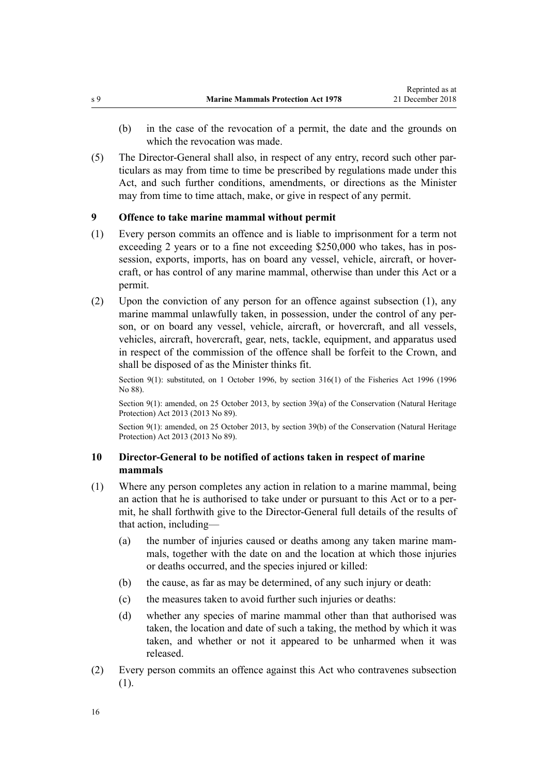- <span id="page-15-0"></span>(b) in the case of the revocation of a permit, the date and the grounds on which the revocation was made.
- (5) The Director-General shall also, in respect of any entry, record such other particulars as may from time to time be prescribed by regulations made under this Act, and such further conditions, amendments, or directions as the Minister may from time to time attach, make, or give in respect of any permit.

## **9 Offence to take marine mammal without permit**

- (1) Every person commits an offence and is liable to imprisonment for a term not exceeding 2 years or to a fine not exceeding \$250,000 who takes, has in possession, exports, imports, has on board any vessel, vehicle, aircraft, or hovercraft, or has control of any marine mammal, otherwise than under this Act or a permit.
- (2) Upon the conviction of any person for an offence against subsection (1), any marine mammal unlawfully taken, in possession, under the control of any person, or on board any vessel, vehicle, aircraft, or hovercraft, and all vessels, vehicles, aircraft, hovercraft, gear, nets, tackle, equipment, and apparatus used in respect of the commission of the offence shall be forfeit to the Crown, and shall be disposed of as the Minister thinks fit.

Section 9(1): substituted, on 1 October 1996, by [section 316\(1\)](http://legislation.govt.nz/pdflink.aspx?id=DLM399975) of the Fisheries Act 1996 (1996) No 88).

Section 9(1): amended, on 25 October 2013, by [section 39\(a\)](http://legislation.govt.nz/pdflink.aspx?id=DLM5469534) of the Conservation (Natural Heritage Protection) Act 2013 (2013 No 89).

Section 9(1): amended, on 25 October 2013, by [section 39\(b\)](http://legislation.govt.nz/pdflink.aspx?id=DLM5469534) of the Conservation (Natural Heritage Protection) Act 2013 (2013 No 89).

## **10 Director-General to be notified of actions taken in respect of marine mammals**

- (1) Where any person completes any action in relation to a marine mammal, being an action that he is authorised to take under or pursuant to this Act or to a permit, he shall forthwith give to the Director-General full details of the results of that action, including—
	- (a) the number of injuries caused or deaths among any taken marine mammals, together with the date on and the location at which those injuries or deaths occurred, and the species injured or killed:
	- (b) the cause, as far as may be determined, of any such injury or death:
	- (c) the measures taken to avoid further such injuries or deaths:
	- (d) whether any species of marine mammal other than that authorised was taken, the location and date of such a taking, the method by which it was taken, and whether or not it appeared to be unharmed when it was released.
- (2) Every person commits an offence against this Act who contravenes subsection (1).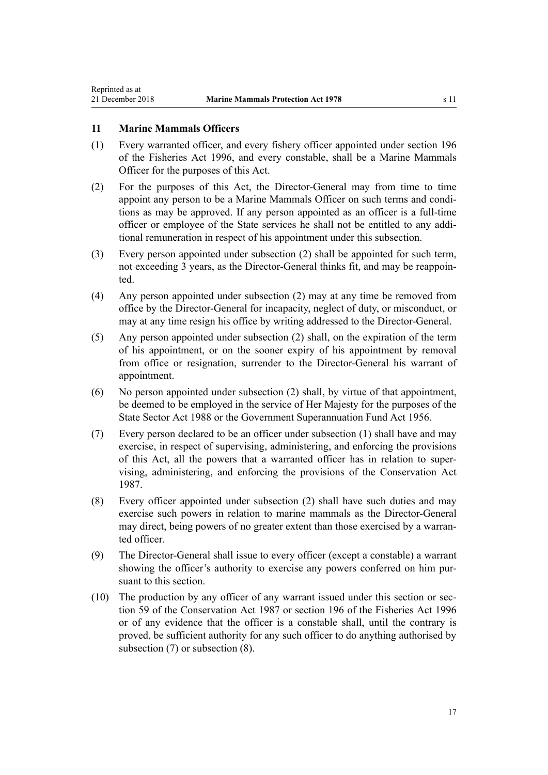## <span id="page-16-0"></span>**11 Marine Mammals Officers**

- (1) Every warranted officer, and every fishery officer appointed under [section 196](http://legislation.govt.nz/pdflink.aspx?id=DLM398601) of the Fisheries Act 1996, and every constable, shall be a Marine Mammals Officer for the purposes of this Act.
- (2) For the purposes of this Act, the Director-General may from time to time appoint any person to be a Marine Mammals Officer on such terms and conditions as may be approved. If any person appointed as an officer is a full-time officer or employee of the State services he shall not be entitled to any additional remuneration in respect of his appointment under this subsection.
- (3) Every person appointed under subsection (2) shall be appointed for such term, not exceeding 3 years, as the Director-General thinks fit, and may be reappointed.
- (4) Any person appointed under subsection (2) may at any time be removed from office by the Director-General for incapacity, neglect of duty, or misconduct, or may at any time resign his office by writing addressed to the Director-General.
- (5) Any person appointed under subsection (2) shall, on the expiration of the term of his appointment, or on the sooner expiry of his appointment by removal from office or resignation, surrender to the Director-General his warrant of appointment.
- (6) No person appointed under subsection (2) shall, by virtue of that appointment, be deemed to be employed in the service of Her Majesty for the purposes of the [State Sector Act 1988](http://legislation.govt.nz/pdflink.aspx?id=DLM129109) or the [Government Superannuation Fund Act 1956](http://legislation.govt.nz/pdflink.aspx?id=DLM446000).
- (7) Every person declared to be an officer under subsection (1) shall have and may exercise, in respect of supervising, administering, and enforcing the provisions of this Act, all the powers that a warranted officer has in relation to supervising, administering, and enforcing the provisions of the [Conservation Act](http://legislation.govt.nz/pdflink.aspx?id=DLM103609) [1987](http://legislation.govt.nz/pdflink.aspx?id=DLM103609).
- (8) Every officer appointed under subsection (2) shall have such duties and may exercise such powers in relation to marine mammals as the Director-General may direct, being powers of no greater extent than those exercised by a warranted officer.
- (9) The Director-General shall issue to every officer (except a constable) a warrant showing the officer's authority to exercise any powers conferred on him pursuant to this section.
- (10) The production by any officer of any warrant issued under this section or [sec](http://legislation.govt.nz/pdflink.aspx?id=DLM106939)[tion 59](http://legislation.govt.nz/pdflink.aspx?id=DLM106939) of the Conservation Act 1987 or [section 196](http://legislation.govt.nz/pdflink.aspx?id=DLM398601) of the Fisheries Act 1996 or of any evidence that the officer is a constable shall, until the contrary is proved, be sufficient authority for any such officer to do anything authorised by subsection (7) or subsection (8).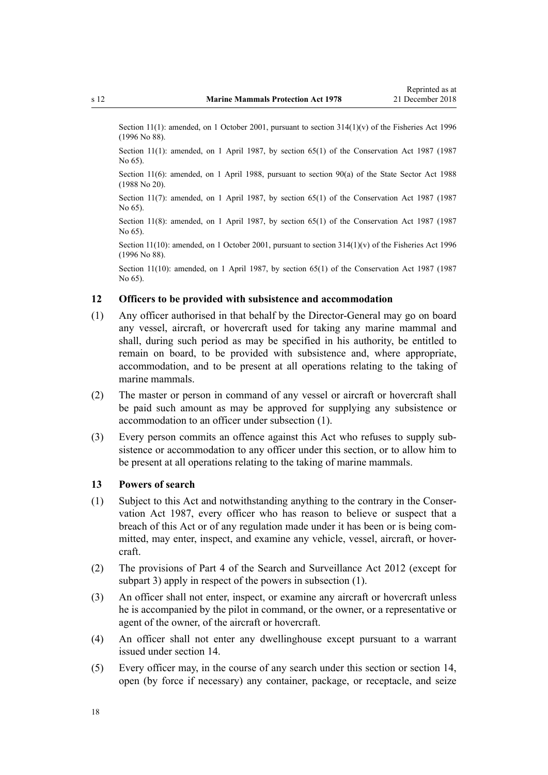<span id="page-17-0"></span>Section 11(1): amended, on 1 October 2001, pursuant to section 314(1)(y) of the Fisheries Act 1996 (1996 No 88).

Section 11(1): amended, on 1 April 1987, by [section 65\(1\)](http://legislation.govt.nz/pdflink.aspx?id=DLM106995) of the Conservation Act 1987 (1987) No 65).

Section 11(6): amended, on 1 April 1988, pursuant to [section 90\(a\) o](http://legislation.govt.nz/pdflink.aspx?id=DLM130377)f the State Sector Act 1988 (1988 No 20).

Section 11(7): amended, on 1 April 1987, by [section 65\(1\)](http://legislation.govt.nz/pdflink.aspx?id=DLM106995) of the Conservation Act 1987 (1987) No 65).

Section 11(8): amended, on 1 April 1987, by [section 65\(1\)](http://legislation.govt.nz/pdflink.aspx?id=DLM106995) of the Conservation Act 1987 (1987) No 65).

Section 11(10): amended, on 1 October 2001, pursuant to [section 314\(1\)\(v\)](http://legislation.govt.nz/pdflink.aspx?id=DLM399971) of the Fisheries Act 1996 (1996 No 88).

Section 11(10): amended, on 1 April 1987, by [section 65\(1\)](http://legislation.govt.nz/pdflink.aspx?id=DLM106995) of the Conservation Act 1987 (1987 No 65).

## **12 Officers to be provided with subsistence and accommodation**

- (1) Any officer authorised in that behalf by the Director-General may go on board any vessel, aircraft, or hovercraft used for taking any marine mammal and shall, during such period as may be specified in his authority, be entitled to remain on board, to be provided with subsistence and, where appropriate, accommodation, and to be present at all operations relating to the taking of marine mammals.
- (2) The master or person in command of any vessel or aircraft or hovercraft shall be paid such amount as may be approved for supplying any subsistence or accommodation to an officer under subsection (1).
- (3) Every person commits an offence against this Act who refuses to supply subsistence or accommodation to any officer under this section, or to allow him to be present at all operations relating to the taking of marine mammals.

## **13 Powers of search**

- (1) Subject to this Act and notwithstanding anything to the contrary in the [Conser](http://legislation.govt.nz/pdflink.aspx?id=DLM103609)[vation Act 1987,](http://legislation.govt.nz/pdflink.aspx?id=DLM103609) every officer who has reason to believe or suspect that a breach of this Act or of any regulation made under it has been or is being committed, may enter, inspect, and examine any vehicle, vessel, aircraft, or hovercraft.
- (2) The provisions of [Part 4](http://legislation.govt.nz/pdflink.aspx?id=DLM2136770) of the Search and Surveillance Act 2012 (except for [subpart 3\)](http://legislation.govt.nz/pdflink.aspx?id=DLM2136781) apply in respect of the powers in subsection (1).
- (3) An officer shall not enter, inspect, or examine any aircraft or hovercraft unless he is accompanied by the pilot in command, or the owner, or a representative or agent of the owner, of the aircraft or hovercraft.
- (4) An officer shall not enter any dwellinghouse except pursuant to a warrant issued under [section 14.](#page-18-0)
- (5) Every officer may, in the course of any search under this section or [section 14](#page-18-0), open (by force if necessary) any container, package, or receptacle, and seize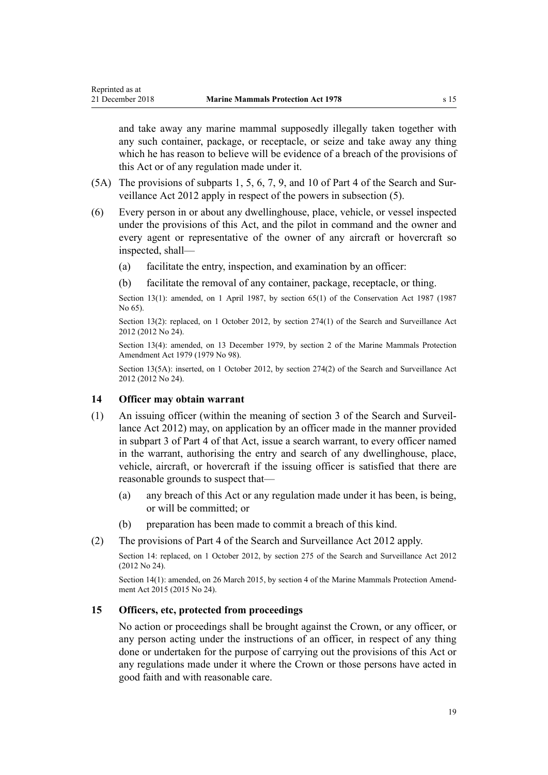<span id="page-18-0"></span>and take away any marine mammal supposedly illegally taken together with any such container, package, or receptacle, or seize and take away any thing which he has reason to believe will be evidence of a breach of the provisions of this Act or of any regulation made under it.

- (5A) The provisions of [subparts 1](http://legislation.govt.nz/pdflink.aspx?id=DLM2136771), [5](http://legislation.govt.nz/pdflink.aspx?id=DLM2136842), [6,](http://legislation.govt.nz/pdflink.aspx?id=DLM2136860) [7,](http://legislation.govt.nz/pdflink.aspx?id=DLM2136877) [9](http://legislation.govt.nz/pdflink.aspx?id=DLM2136888), and [10](http://legislation.govt.nz/pdflink.aspx?id=DLM2136896) of Part 4 of the Search and Surveillance Act 2012 apply in respect of the powers in subsection (5).
- (6) Every person in or about any dwellinghouse, place, vehicle, or vessel inspected under the provisions of this Act, and the pilot in command and the owner and every agent or representative of the owner of any aircraft or hovercraft so inspected, shall—
	- (a) facilitate the entry, inspection, and examination by an officer:
	- (b) facilitate the removal of any container, package, receptacle, or thing.

Section 13(1): amended, on 1 April 1987, by [section 65\(1\)](http://legislation.govt.nz/pdflink.aspx?id=DLM106995) of the Conservation Act 1987 (1987 No 65).

Section 13(2): replaced, on 1 October 2012, by [section 274\(1\)](http://legislation.govt.nz/pdflink.aspx?id=DLM4356800) of the Search and Surveillance Act 2012 (2012 No 24).

Section 13(4): amended, on 13 December 1979, by section 2 of the Marine Mammals Protection Amendment Act 1979 (1979 No 98).

Section 13(5A): inserted, on 1 October 2012, by [section 274\(2\)](http://legislation.govt.nz/pdflink.aspx?id=DLM4356800) of the Search and Surveillance Act 2012 (2012 No 24).

## **14 Officer may obtain warrant**

- (1) An issuing officer (within the meaning of [section 3](http://legislation.govt.nz/pdflink.aspx?id=DLM2136542) of the Search and Surveillance Act 2012) may, on application by an officer made in the manner provided in [subpart 3](http://legislation.govt.nz/pdflink.aspx?id=DLM2136781) of Part 4 of that Act, issue a search warrant, to every officer named in the warrant, authorising the entry and search of any dwellinghouse, place, vehicle, aircraft, or hovercraft if the issuing officer is satisfied that there are reasonable grounds to suspect that—
	- (a) any breach of this Act or any regulation made under it has been, is being, or will be committed; or
	- (b) preparation has been made to commit a breach of this kind.
- (2) The provisions of [Part 4](http://legislation.govt.nz/pdflink.aspx?id=DLM2136770) of the Search and Surveillance Act 2012 apply.

Section 14: replaced, on 1 October 2012, by [section 275](http://legislation.govt.nz/pdflink.aspx?id=DLM2137023) of the Search and Surveillance Act 2012 (2012 No 24).

Section 14(1): amended, on 26 March 2015, by [section 4](http://legislation.govt.nz/pdflink.aspx?id=DLM6413206) of the Marine Mammals Protection Amendment Act 2015 (2015 No 24).

## **15 Officers, etc, protected from proceedings**

No action or proceedings shall be brought against the Crown, or any officer, or any person acting under the instructions of an officer, in respect of any thing done or undertaken for the purpose of carrying out the provisions of this Act or any regulations made under it where the Crown or those persons have acted in good faith and with reasonable care.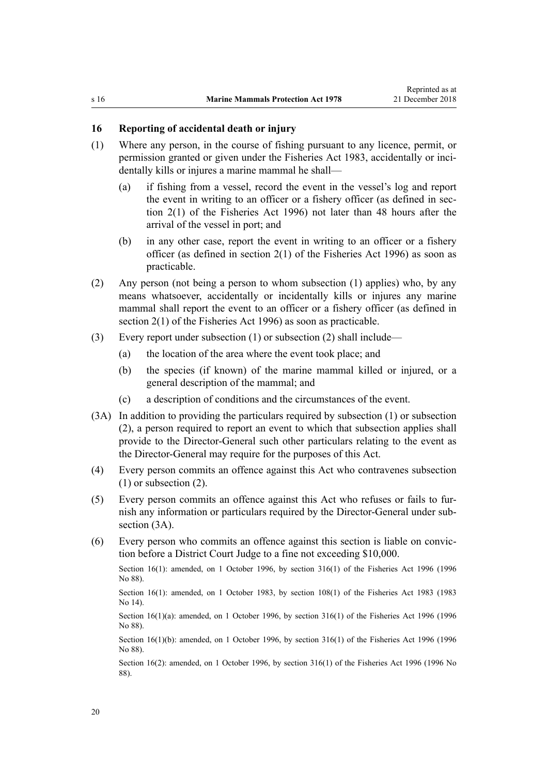## <span id="page-19-0"></span>**16 Reporting of accidental death or injury**

- (1) Where any person, in the course of fishing pursuant to any licence, permit, or permission granted or given under the [Fisheries Act 1983](http://legislation.govt.nz/pdflink.aspx?id=DLM66581), accidentally or incidentally kills or injures a marine mammal he shall—
	- (a) if fishing from a vessel, record the event in the vessel's log and report the event in writing to an officer or a fishery officer (as defined in [sec](http://legislation.govt.nz/pdflink.aspx?id=DLM394199)[tion 2\(1\)](http://legislation.govt.nz/pdflink.aspx?id=DLM394199) of the Fisheries Act 1996) not later than 48 hours after the arrival of the vessel in port; and
	- (b) in any other case, report the event in writing to an officer or a fishery officer (as defined in [section 2\(1\)](http://legislation.govt.nz/pdflink.aspx?id=DLM394199) of the Fisheries Act 1996) as soon as practicable.
- (2) Any person (not being a person to whom subsection (1) applies) who, by any means whatsoever, accidentally or incidentally kills or injures any marine mammal shall report the event to an officer or a fishery officer (as defined in [section 2\(1\)](http://legislation.govt.nz/pdflink.aspx?id=DLM394199) of the Fisheries Act 1996) as soon as practicable.
- (3) Every report under subsection (1) or subsection (2) shall include—
	- (a) the location of the area where the event took place; and
	- (b) the species (if known) of the marine mammal killed or injured, or a general description of the mammal; and
	- (c) a description of conditions and the circumstances of the event.
- (3A) In addition to providing the particulars required by subsection (1) or subsection (2), a person required to report an event to which that subsection applies shall provide to the Director-General such other particulars relating to the event as the Director-General may require for the purposes of this Act.
- (4) Every person commits an offence against this Act who contravenes subsection (1) or subsection (2).
- (5) Every person commits an offence against this Act who refuses or fails to furnish any information or particulars required by the Director-General under subsection  $(3A)$ .
- (6) Every person who commits an offence against this section is liable on conviction before a District Court Judge to a fine not exceeding \$10,000.

Section 16(1): amended, on 1 October 1996, by [section 316\(1\)](http://legislation.govt.nz/pdflink.aspx?id=DLM399975) of the Fisheries Act 1996 (1996) No 88).

Section 16(1): amended, on 1 October 1983, by [section 108\(1\)](http://legislation.govt.nz/pdflink.aspx?id=DLM70539) of the Fisheries Act 1983 (1983) No 14).

Section 16(1)(a): amended, on 1 October 1996, by [section 316\(1\)](http://legislation.govt.nz/pdflink.aspx?id=DLM399975) of the Fisheries Act 1996 (1996 No 88).

Section 16(1)(b): amended, on 1 October 1996, by [section 316\(1\)](http://legislation.govt.nz/pdflink.aspx?id=DLM399975) of the Fisheries Act 1996 (1996 No 88).

Section 16(2): amended, on 1 October 1996, by [section 316\(1\)](http://legislation.govt.nz/pdflink.aspx?id=DLM399975) of the Fisheries Act 1996 (1996 No 88).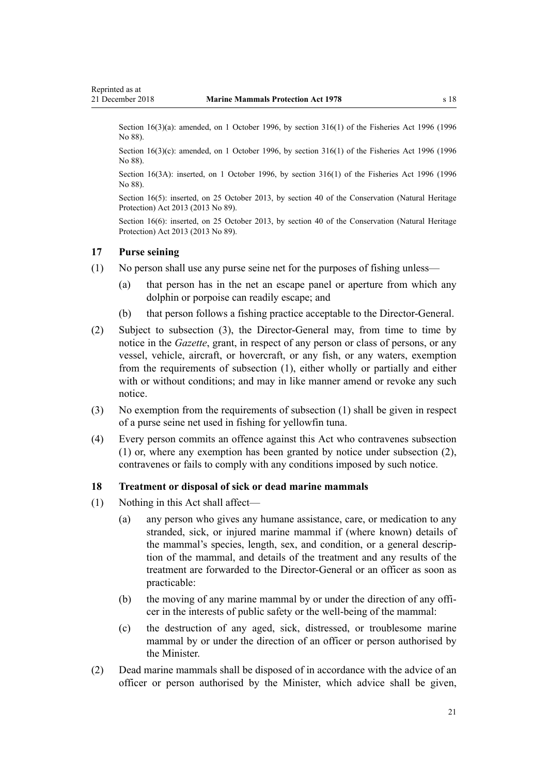<span id="page-20-0"></span>Section 16(3)(a): amended, on 1 October 1996, by [section 316\(1\)](http://legislation.govt.nz/pdflink.aspx?id=DLM399975) of the Fisheries Act 1996 (1996) No 88).

Section 16(3)(c): amended, on 1 October 1996, by [section 316\(1\)](http://legislation.govt.nz/pdflink.aspx?id=DLM399975) of the Fisheries Act 1996 (1996) No 88).

Section 16(3A): inserted, on 1 October 1996, by [section 316\(1\)](http://legislation.govt.nz/pdflink.aspx?id=DLM399975) of the Fisheries Act 1996 (1996 No 88).

Section 16(5): inserted, on 25 October 2013, by [section 40](http://legislation.govt.nz/pdflink.aspx?id=DLM5469535) of the Conservation (Natural Heritage Protection) Act 2013 (2013 No 89).

Section 16(6): inserted, on 25 October 2013, by [section 40](http://legislation.govt.nz/pdflink.aspx?id=DLM5469535) of the Conservation (Natural Heritage Protection) Act 2013 (2013 No 89).

## **17 Purse seining**

- (1) No person shall use any purse seine net for the purposes of fishing unless—
	- (a) that person has in the net an escape panel or aperture from which any dolphin or porpoise can readily escape; and
	- (b) that person follows a fishing practice acceptable to the Director-General.
- (2) Subject to subsection (3), the Director-General may, from time to time by notice in the *Gazette*, grant, in respect of any person or class of persons, or any vessel, vehicle, aircraft, or hovercraft, or any fish, or any waters, exemption from the requirements of subsection (1), either wholly or partially and either with or without conditions; and may in like manner amend or revoke any such notice.
- (3) No exemption from the requirements of subsection (1) shall be given in respect of a purse seine net used in fishing for yellowfin tuna.
- (4) Every person commits an offence against this Act who contravenes subsection (1) or, where any exemption has been granted by notice under subsection (2), contravenes or fails to comply with any conditions imposed by such notice.

#### **18 Treatment or disposal of sick or dead marine mammals**

- (1) Nothing in this Act shall affect—
	- (a) any person who gives any humane assistance, care, or medication to any stranded, sick, or injured marine mammal if (where known) details of the mammal's species, length, sex, and condition, or a general description of the mammal, and details of the treatment and any results of the treatment are forwarded to the Director-General or an officer as soon as practicable:
	- (b) the moving of any marine mammal by or under the direction of any officer in the interests of public safety or the well-being of the mammal:
	- (c) the destruction of any aged, sick, distressed, or troublesome marine mammal by or under the direction of an officer or person authorised by the Minister.
- (2) Dead marine mammals shall be disposed of in accordance with the advice of an officer or person authorised by the Minister, which advice shall be given,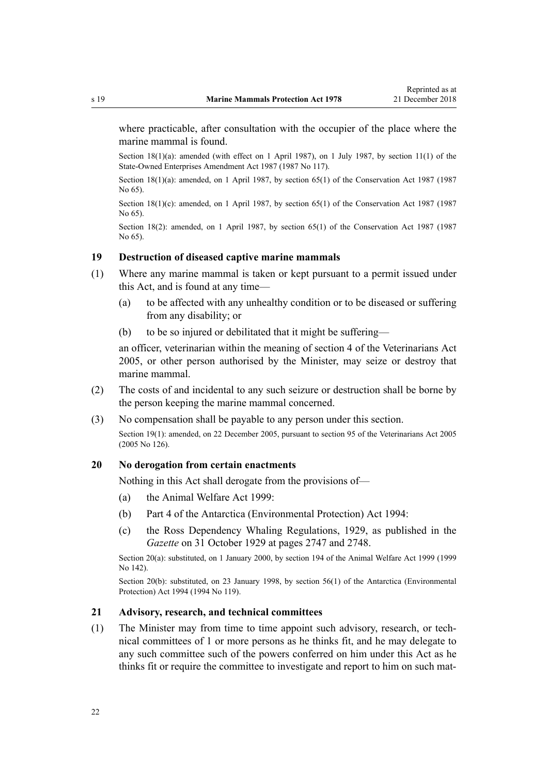<span id="page-21-0"></span>where practicable, after consultation with the occupier of the place where the marine mammal is found.

Section 18(1)(a): amended (with effect on 1 April 1987), on 1 July 1987, by section 11(1) of the State-Owned Enterprises Amendment Act 1987 (1987 No 117).

Section 18(1)(a): amended, on 1 April 1987, by [section 65\(1\)](http://legislation.govt.nz/pdflink.aspx?id=DLM106995) of the Conservation Act 1987 (1987 No 65).

Section  $18(1)(c)$ : amended, on 1 April 1987, by [section 65\(1\)](http://legislation.govt.nz/pdflink.aspx?id=DLM106995) of the Conservation Act 1987 (1987 No 65).

Section 18(2): amended, on 1 April 1987, by [section 65\(1\)](http://legislation.govt.nz/pdflink.aspx?id=DLM106995) of the Conservation Act 1987 (1987 No 65).

## **19 Destruction of diseased captive marine mammals**

- (1) Where any marine mammal is taken or kept pursuant to a permit issued under this Act, and is found at any time—
	- (a) to be affected with any unhealthy condition or to be diseased or suffering from any disability; or
	- (b) to be so injured or debilitated that it might be suffering—

an officer, veterinarian within the meaning of [section 4](http://legislation.govt.nz/pdflink.aspx?id=DLM363866) of the Veterinarians Act 2005, or other person authorised by the Minister, may seize or destroy that marine mammal.

- (2) The costs of and incidental to any such seizure or destruction shall be borne by the person keeping the marine mammal concerned.
- (3) No compensation shall be payable to any person under this section.

Section 19(1): amended, on 22 December 2005, pursuant to [section 95](http://legislation.govt.nz/pdflink.aspx?id=DLM364659) of the Veterinarians Act 2005 (2005 No 126).

#### **20 No derogation from certain enactments**

Nothing in this Act shall derogate from the provisions of—

- (a) the [Animal Welfare Act 1999:](http://legislation.govt.nz/pdflink.aspx?id=DLM49663)
- (b) [Part 4](http://legislation.govt.nz/pdflink.aspx?id=DLM343259) of the Antarctica (Environmental Protection) Act 1994:
- (c) the Ross Dependency Whaling Regulations, 1929, as published in the *Gazette* on 31 October 1929 at pages 2747 and 2748.

Section 20(a): substituted, on 1 January 2000, by [section 194](http://legislation.govt.nz/pdflink.aspx?id=DLM51965) of the Animal Welfare Act 1999 (1999 No 142).

Section 20(b): substituted, on 23 January 1998, by [section 56\(1\)](http://legislation.govt.nz/pdflink.aspx?id=DLM343623) of the Antarctica (Environmental Protection) Act 1994 (1994 No 119).

#### **21 Advisory, research, and technical committees**

(1) The Minister may from time to time appoint such advisory, research, or technical committees of 1 or more persons as he thinks fit, and he may delegate to any such committee such of the powers conferred on him under this Act as he thinks fit or require the committee to investigate and report to him on such mat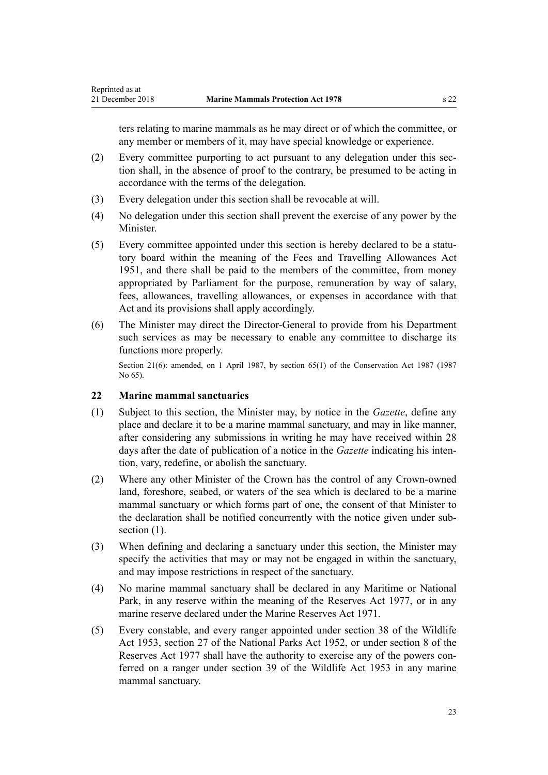<span id="page-22-0"></span>ters relating to marine mammals as he may direct or of which the committee, or any member or members of it, may have special knowledge or experience.

- (2) Every committee purporting to act pursuant to any delegation under this section shall, in the absence of proof to the contrary, be presumed to be acting in accordance with the terms of the delegation.
- (3) Every delegation under this section shall be revocable at will.
- (4) No delegation under this section shall prevent the exercise of any power by the **Minister**
- (5) Every committee appointed under this section is hereby declared to be a statutory board within the meaning of the [Fees and Travelling Allowances Act](http://legislation.govt.nz/pdflink.aspx?id=DLM264952) [1951](http://legislation.govt.nz/pdflink.aspx?id=DLM264952), and there shall be paid to the members of the committee, from money appropriated by Parliament for the purpose, remuneration by way of salary, fees, allowances, travelling allowances, or expenses in accordance with that Act and its provisions shall apply accordingly.
- (6) The Minister may direct the Director-General to provide from his Department such services as may be necessary to enable any committee to discharge its functions more properly.

Section 21(6): amended, on 1 April 1987, by [section 65\(1\)](http://legislation.govt.nz/pdflink.aspx?id=DLM106995) of the Conservation Act 1987 (1987) No 65).

## **22 Marine mammal sanctuaries**

- (1) Subject to this section, the Minister may, by notice in the *Gazette*, define any place and declare it to be a marine mammal sanctuary, and may in like manner, after considering any submissions in writing he may have received within 28 days after the date of publication of a notice in the *Gazette* indicating his intention, vary, redefine, or abolish the sanctuary.
- (2) Where any other Minister of the Crown has the control of any Crown-owned land, foreshore, seabed, or waters of the sea which is declared to be a marine mammal sanctuary or which forms part of one, the consent of that Minister to the declaration shall be notified concurrently with the notice given under subsection  $(1)$ .
- (3) When defining and declaring a sanctuary under this section, the Minister may specify the activities that may or may not be engaged in within the sanctuary, and may impose restrictions in respect of the sanctuary.
- (4) No marine mammal sanctuary shall be declared in any Maritime or National Park, in any reserve within the meaning of the [Reserves Act 1977,](http://legislation.govt.nz/pdflink.aspx?id=DLM444304) or in any marine reserve declared under the [Marine Reserves Act 1971.](http://legislation.govt.nz/pdflink.aspx?id=DLM397837)
- (5) Every constable, and every ranger appointed under [section 38](http://legislation.govt.nz/pdflink.aspx?id=DLM277803) of the Wildlife Act 1953, section 27 of the National Parks Act 1952, or under [section 8](http://legislation.govt.nz/pdflink.aspx?id=DLM444464) of the Reserves Act 1977 shall have the authority to exercise any of the powers conferred on a ranger under [section 39](http://legislation.govt.nz/pdflink.aspx?id=DLM277812) of the Wildlife Act 1953 in any marine mammal sanctuary.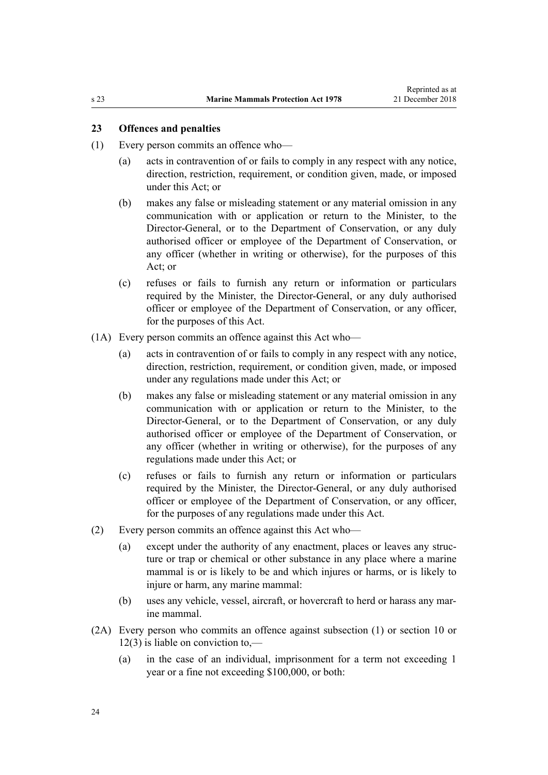## <span id="page-23-0"></span>**23 Offences and penalties**

- (1) Every person commits an offence who—
	- (a) acts in contravention of or fails to comply in any respect with any notice, direction, restriction, requirement, or condition given, made, or imposed under this Act; or
	- (b) makes any false or misleading statement or any material omission in any communication with or application or return to the Minister, to the Director-General, or to the Department of Conservation, or any duly authorised officer or employee of the Department of Conservation, or any officer (whether in writing or otherwise), for the purposes of this Act; or
	- (c) refuses or fails to furnish any return or information or particulars required by the Minister, the Director-General, or any duly authorised officer or employee of the Department of Conservation, or any officer, for the purposes of this Act.
- (1A) Every person commits an offence against this Act who—
	- (a) acts in contravention of or fails to comply in any respect with any notice, direction, restriction, requirement, or condition given, made, or imposed under any regulations made under this Act; or
	- (b) makes any false or misleading statement or any material omission in any communication with or application or return to the Minister, to the Director-General, or to the Department of Conservation, or any duly authorised officer or employee of the Department of Conservation, or any officer (whether in writing or otherwise), for the purposes of any regulations made under this Act; or
	- (c) refuses or fails to furnish any return or information or particulars required by the Minister, the Director-General, or any duly authorised officer or employee of the Department of Conservation, or any officer, for the purposes of any regulations made under this Act.
- (2) Every person commits an offence against this Act who—
	- (a) except under the authority of any enactment, places or leaves any structure or trap or chemical or other substance in any place where a marine mammal is or is likely to be and which injures or harms, or is likely to injure or harm, any marine mammal:
	- (b) uses any vehicle, vessel, aircraft, or hovercraft to herd or harass any marine mammal.
- (2A) Every person who commits an offence against subsection (1) or [section 10](#page-15-0) or [12\(3\)](#page-17-0) is liable on conviction to,—
	- (a) in the case of an individual, imprisonment for a term not exceeding 1 year or a fine not exceeding \$100,000, or both: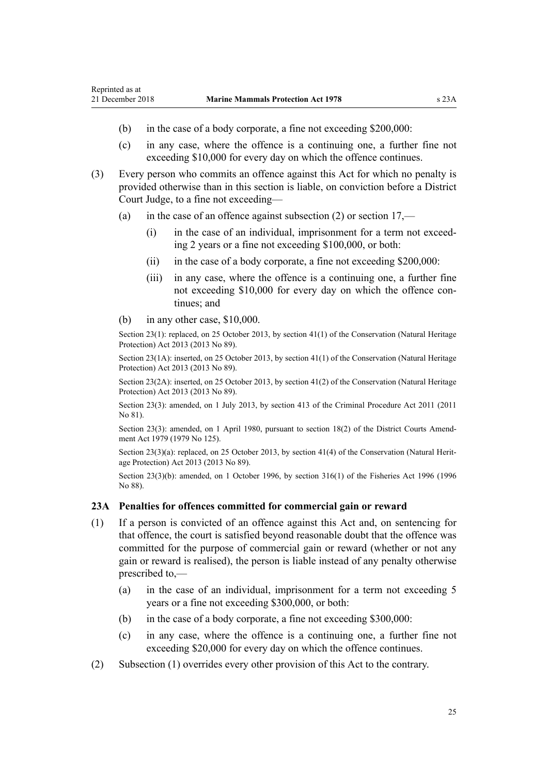- <span id="page-24-0"></span>(b) in the case of a body corporate, a fine not exceeding \$200,000:
- (c) in any case, where the offence is a continuing one, a further fine not exceeding \$10,000 for every day on which the offence continues.
- (3) Every person who commits an offence against this Act for which no penalty is provided otherwise than in this section is liable, on conviction before a District Court Judge, to a fine not exceeding—
	- (a) in the case of an offence against subsection  $(2)$  or section  $17$ ,—
		- (i) in the case of an individual, imprisonment for a term not exceeding 2 years or a fine not exceeding \$100,000, or both:
		- (ii) in the case of a body corporate, a fine not exceeding \$200,000:
		- (iii) in any case, where the offence is a continuing one, a further fine not exceeding \$10,000 for every day on which the offence continues; and
	- (b) in any other case, \$10,000.

Section 23(1): replaced, on 25 October 2013, by [section 41\(1\)](http://legislation.govt.nz/pdflink.aspx?id=DLM5469536) of the Conservation (Natural Heritage Protection) Act 2013 (2013 No 89).

Section 23(1A): inserted, on 25 October 2013, by [section 41\(1\)](http://legislation.govt.nz/pdflink.aspx?id=DLM5469536) of the Conservation (Natural Heritage Protection) Act 2013 (2013 No 89).

Section 23(2A): inserted, on 25 October 2013, by [section 41\(2\)](http://legislation.govt.nz/pdflink.aspx?id=DLM5469536) of the Conservation (Natural Heritage Protection) Act 2013 (2013 No 89).

Section 23(3): amended, on 1 July 2013, by [section 413](http://legislation.govt.nz/pdflink.aspx?id=DLM3360714) of the Criminal Procedure Act 2011 (2011 No 81).

Section 23(3): amended, on 1 April 1980, pursuant to [section 18\(2\)](http://legislation.govt.nz/pdflink.aspx?id=DLM35085) of the District Courts Amendment Act 1979 (1979 No 125).

Section 23(3)(a): replaced, on 25 October 2013, by [section 41\(4\)](http://legislation.govt.nz/pdflink.aspx?id=DLM5469536) of the Conservation (Natural Heritage Protection) Act 2013 (2013 No 89).

Section 23(3)(b): amended, on 1 October 1996, by [section 316\(1\)](http://legislation.govt.nz/pdflink.aspx?id=DLM399975) of the Fisheries Act 1996 (1996 No 88).

#### **23A Penalties for offences committed for commercial gain or reward**

- (1) If a person is convicted of an offence against this Act and, on sentencing for that offence, the court is satisfied beyond reasonable doubt that the offence was committed for the purpose of commercial gain or reward (whether or not any gain or reward is realised), the person is liable instead of any penalty otherwise prescribed to,—
	- (a) in the case of an individual, imprisonment for a term not exceeding 5 years or a fine not exceeding \$300,000, or both:
	- (b) in the case of a body corporate, a fine not exceeding \$300,000:
	- (c) in any case, where the offence is a continuing one, a further fine not exceeding \$20,000 for every day on which the offence continues.
- (2) Subsection (1) overrides every other provision of this Act to the contrary.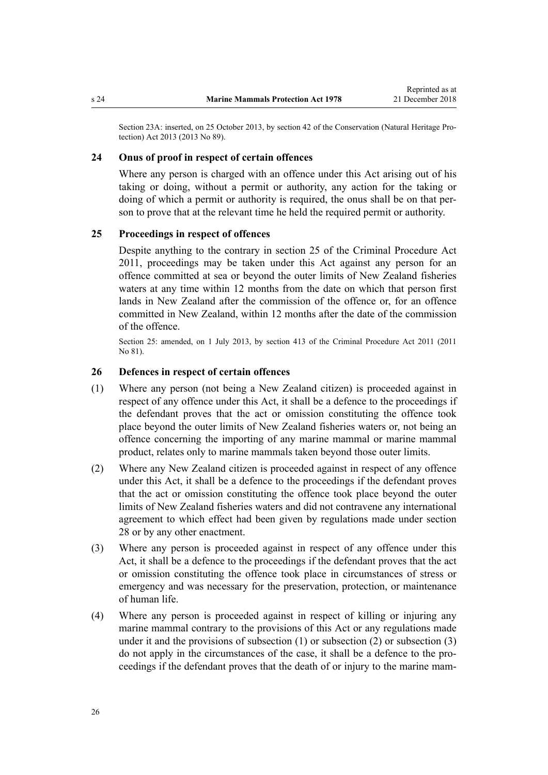<span id="page-25-0"></span>Section 23A: inserted, on 25 October 2013, by [section 42](http://legislation.govt.nz/pdflink.aspx?id=DLM5469537) of the Conservation (Natural Heritage Protection) Act 2013 (2013 No 89).

#### **24 Onus of proof in respect of certain offences**

Where any person is charged with an offence under this Act arising out of his taking or doing, without a permit or authority, any action for the taking or doing of which a permit or authority is required, the onus shall be on that person to prove that at the relevant time he held the required permit or authority.

## **25 Proceedings in respect of offences**

Despite anything to the contrary in [section 25](http://legislation.govt.nz/pdflink.aspx?id=DLM3360067) of the Criminal Procedure Act 2011, proceedings may be taken under this Act against any person for an offence committed at sea or beyond the outer limits of New Zealand fisheries waters at any time within 12 months from the date on which that person first lands in New Zealand after the commission of the offence or, for an offence committed in New Zealand, within 12 months after the date of the commission of the offence.

Section 25: amended, on 1 July 2013, by [section 413](http://legislation.govt.nz/pdflink.aspx?id=DLM3360714) of the Criminal Procedure Act 2011 (2011 No 81).

#### **26 Defences in respect of certain offences**

- (1) Where any person (not being a New Zealand citizen) is proceeded against in respect of any offence under this Act, it shall be a defence to the proceedings if the defendant proves that the act or omission constituting the offence took place beyond the outer limits of New Zealand fisheries waters or, not being an offence concerning the importing of any marine mammal or marine mammal product, relates only to marine mammals taken beyond those outer limits.
- (2) Where any New Zealand citizen is proceeded against in respect of any offence under this Act, it shall be a defence to the proceedings if the defendant proves that the act or omission constituting the offence took place beyond the outer limits of New Zealand fisheries waters and did not contravene any international agreement to which effect had been given by regulations made under [section](#page-29-0) [28](#page-29-0) or by any other enactment.
- (3) Where any person is proceeded against in respect of any offence under this Act, it shall be a defence to the proceedings if the defendant proves that the act or omission constituting the offence took place in circumstances of stress or emergency and was necessary for the preservation, protection, or maintenance of human life.
- (4) Where any person is proceeded against in respect of killing or injuring any marine mammal contrary to the provisions of this Act or any regulations made under it and the provisions of subsection (1) or subsection (2) or subsection (3) do not apply in the circumstances of the case, it shall be a defence to the proceedings if the defendant proves that the death of or injury to the marine mam-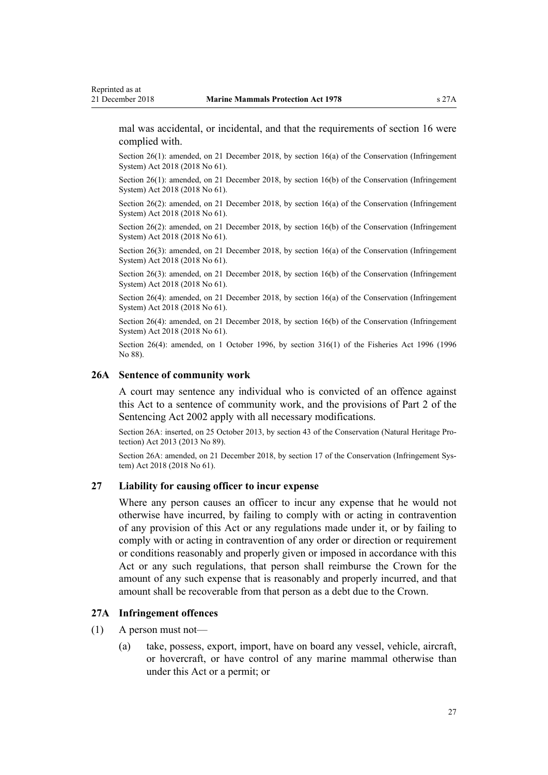<span id="page-26-0"></span>mal was accidental, or incidental, and that the requirements of [section 16](#page-19-0) were complied with.

Section 26(1): amended, on 21 December 2018, by [section 16\(a\)](http://legislation.govt.nz/pdflink.aspx?id=DLM7116194) of the Conservation (Infringement System) Act 2018 (2018 No 61).

Section 26(1): amended, on 21 December 2018, by [section 16\(b\)](http://legislation.govt.nz/pdflink.aspx?id=DLM7116194) of the Conservation (Infringement System) Act 2018 (2018 No 61).

Section 26(2): amended, on 21 December 2018, by [section 16\(a\)](http://legislation.govt.nz/pdflink.aspx?id=DLM7116194) of the Conservation (Infringement System) Act 2018 (2018 No 61).

Section 26(2): amended, on 21 December 2018, by [section 16\(b\)](http://legislation.govt.nz/pdflink.aspx?id=DLM7116194) of the Conservation (Infringement System) Act 2018 (2018 No 61).

Section 26(3): amended, on 21 December 2018, by [section 16\(a\)](http://legislation.govt.nz/pdflink.aspx?id=DLM7116194) of the Conservation (Infringement System) Act 2018 (2018 No 61).

Section 26(3): amended, on 21 December 2018, by [section 16\(b\)](http://legislation.govt.nz/pdflink.aspx?id=DLM7116194) of the Conservation (Infringement System) Act 2018 (2018 No 61).

Section 26(4): amended, on 21 December 2018, by [section 16\(a\)](http://legislation.govt.nz/pdflink.aspx?id=DLM7116194) of the Conservation (Infringement System) Act 2018 (2018 No 61).

Section 26(4): amended, on 21 December 2018, by [section 16\(b\)](http://legislation.govt.nz/pdflink.aspx?id=DLM7116194) of the Conservation (Infringement System) Act 2018 (2018 No 61).

Section 26(4): amended, on 1 October 1996, by [section 316\(1\)](http://legislation.govt.nz/pdflink.aspx?id=DLM399975) of the Fisheries Act 1996 (1996 No 88).

#### **26A Sentence of community work**

A court may sentence any individual who is convicted of an offence against this Act to a sentence of community work, and the provisions of [Part 2](http://legislation.govt.nz/pdflink.aspx?id=DLM135593) of the Sentencing Act 2002 apply with all necessary modifications.

Section 26A: inserted, on 25 October 2013, by [section 43](http://legislation.govt.nz/pdflink.aspx?id=DLM5469539) of the Conservation (Natural Heritage Protection) Act 2013 (2013 No 89).

Section 26A: amended, on 21 December 2018, by [section 17](http://legislation.govt.nz/pdflink.aspx?id=DLM7116195) of the Conservation (Infringement System) Act 2018 (2018 No 61).

#### **27 Liability for causing officer to incur expense**

Where any person causes an officer to incur any expense that he would not otherwise have incurred, by failing to comply with or acting in contravention of any provision of this Act or any regulations made under it, or by failing to comply with or acting in contravention of any order or direction or requirement or conditions reasonably and properly given or imposed in accordance with this Act or any such regulations, that person shall reimburse the Crown for the amount of any such expense that is reasonably and properly incurred, and that amount shall be recoverable from that person as a debt due to the Crown.

#### **27A Infringement offences**

- (1) A person must not—
	- (a) take, possess, export, import, have on board any vessel, vehicle, aircraft, or hovercraft, or have control of any marine mammal otherwise than under this Act or a permit; or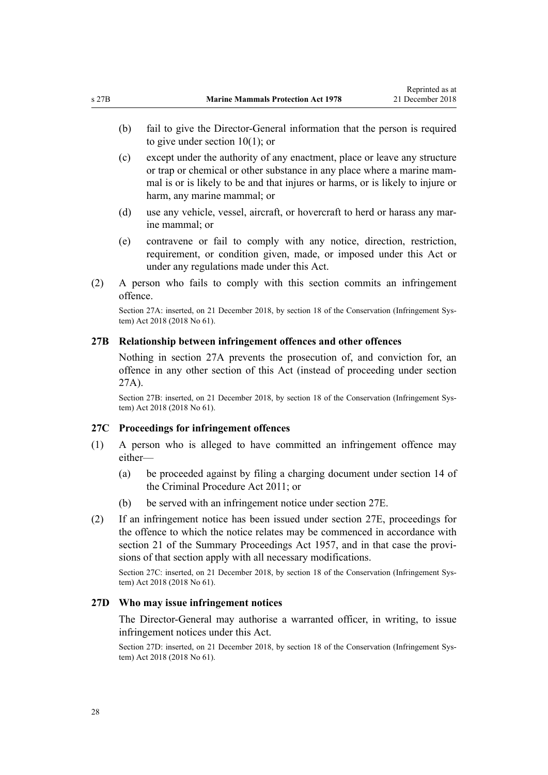- <span id="page-27-0"></span>(b) fail to give the Director-General information that the person is required to give under [section 10\(1\)](#page-15-0); or
- (c) except under the authority of any enactment, place or leave any structure or trap or chemical or other substance in any place where a marine mammal is or is likely to be and that injures or harms, or is likely to injure or harm, any marine mammal; or
- (d) use any vehicle, vessel, aircraft, or hovercraft to herd or harass any marine mammal; or
- (e) contravene or fail to comply with any notice, direction, restriction, requirement, or condition given, made, or imposed under this Act or under any regulations made under this Act.
- (2) A person who fails to comply with this section commits an infringement offence.

Section 27A: inserted, on 21 December 2018, by [section 18](http://legislation.govt.nz/pdflink.aspx?id=DLM7116196) of the Conservation (Infringement System) Act 2018 (2018 No 61).

#### **27B Relationship between infringement offences and other offences**

Nothing in [section 27A](#page-26-0) prevents the prosecution of, and conviction for, an offence in any other section of this Act (instead of proceeding under section 27A).

Section 27B: inserted, on 21 December 2018, by [section 18](http://legislation.govt.nz/pdflink.aspx?id=DLM7116196) of the Conservation (Infringement System) Act 2018 (2018 No 61).

#### **27C Proceedings for infringement offences**

- (1) A person who is alleged to have committed an infringement offence may either—
	- (a) be proceeded against by filing a charging document under [section 14](http://legislation.govt.nz/pdflink.aspx?id=DLM3360057) of the Criminal Procedure Act 2011; or
	- (b) be served with an infringement notice under [section 27E](#page-28-0).
- (2) If an infringement notice has been issued under [section 27E,](#page-28-0) proceedings for the offence to which the notice relates may be commenced in accordance with [section 21](http://legislation.govt.nz/pdflink.aspx?id=DLM311346) of the Summary Proceedings Act 1957, and in that case the provisions of that section apply with all necessary modifications.

Section 27C: inserted, on 21 December 2018, by [section 18](http://legislation.govt.nz/pdflink.aspx?id=DLM7116196) of the Conservation (Infringement System) Act 2018 (2018 No 61).

#### **27D Who may issue infringement notices**

The Director-General may authorise a warranted officer, in writing, to issue infringement notices under this Act.

Section 27D: inserted, on 21 December 2018, by [section 18](http://legislation.govt.nz/pdflink.aspx?id=DLM7116196) of the Conservation (Infringement System) Act 2018 (2018 No 61).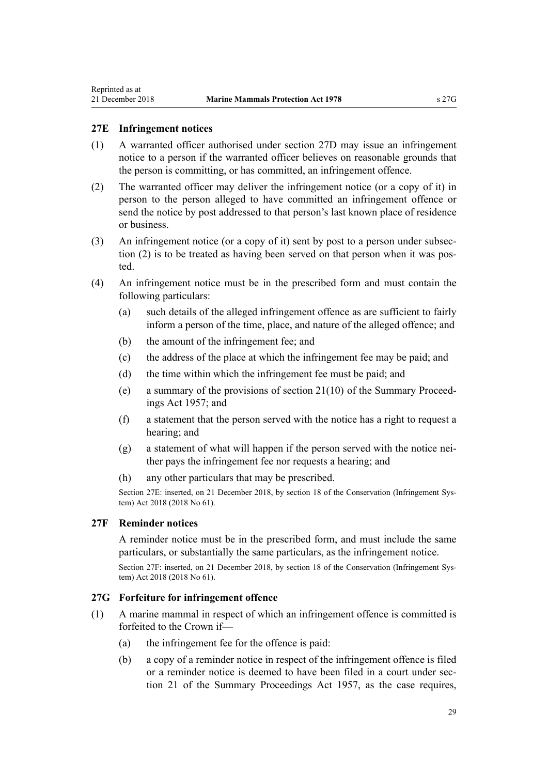## <span id="page-28-0"></span>**27E Infringement notices**

- (1) A warranted officer authorised under [section 27D](#page-27-0) may issue an infringement notice to a person if the warranted officer believes on reasonable grounds that the person is committing, or has committed, an infringement offence.
- (2) The warranted officer may deliver the infringement notice (or a copy of it) in person to the person alleged to have committed an infringement offence or send the notice by post addressed to that person's last known place of residence or business.
- (3) An infringement notice (or a copy of it) sent by post to a person under subsection (2) is to be treated as having been served on that person when it was posted.
- (4) An infringement notice must be in the prescribed form and must contain the following particulars:
	- (a) such details of the alleged infringement offence as are sufficient to fairly inform a person of the time, place, and nature of the alleged offence; and
	- (b) the amount of the infringement fee; and
	- (c) the address of the place at which the infringement fee may be paid; and
	- (d) the time within which the infringement fee must be paid; and
	- (e) a summary of the provisions of [section 21\(10\)](http://legislation.govt.nz/pdflink.aspx?id=DLM311346) of the Summary Proceedings Act 1957; and
	- (f) a statement that the person served with the notice has a right to request a hearing; and
	- (g) a statement of what will happen if the person served with the notice neither pays the infringement fee nor requests a hearing; and
	- (h) any other particulars that may be prescribed.

Section 27E: inserted, on 21 December 2018, by [section 18](http://legislation.govt.nz/pdflink.aspx?id=DLM7116196) of the Conservation (Infringement System) Act 2018 (2018 No 61).

## **27F Reminder notices**

A reminder notice must be in the prescribed form, and must include the same particulars, or substantially the same particulars, as the infringement notice.

Section 27F: inserted, on 21 December 2018, by [section 18](http://legislation.govt.nz/pdflink.aspx?id=DLM7116196) of the Conservation (Infringement System) Act 2018 (2018 No 61).

#### **27G Forfeiture for infringement offence**

- (1) A marine mammal in respect of which an infringement offence is committed is forfeited to the Crown if—
	- (a) the infringement fee for the offence is paid:
	- (b) a copy of a reminder notice in respect of the infringement offence is filed or a reminder notice is deemed to have been filed in a court under [sec](http://legislation.govt.nz/pdflink.aspx?id=DLM311346)[tion 21](http://legislation.govt.nz/pdflink.aspx?id=DLM311346) of the Summary Proceedings Act 1957, as the case requires,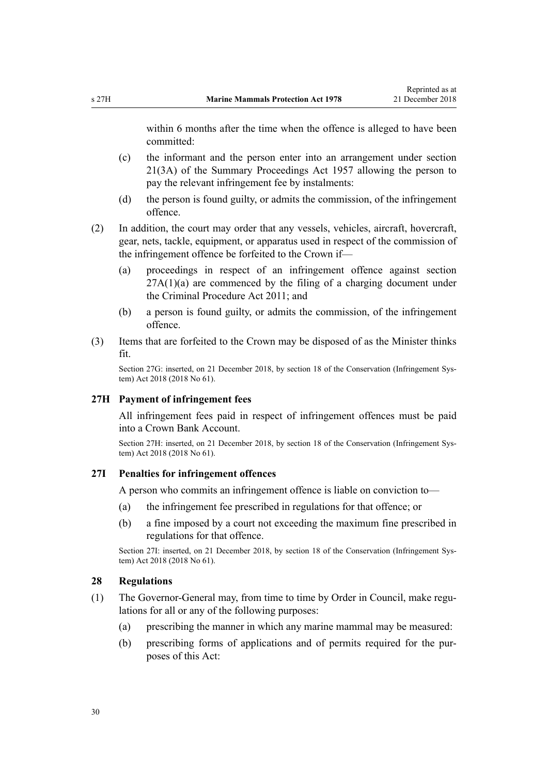<span id="page-29-0"></span>within 6 months after the time when the offence is alleged to have been committed:

- (c) the informant and the person enter into an arrangement under [section](http://legislation.govt.nz/pdflink.aspx?id=DLM311346) [21\(3A\)](http://legislation.govt.nz/pdflink.aspx?id=DLM311346) of the Summary Proceedings Act 1957 allowing the person to pay the relevant infringement fee by instalments:
- (d) the person is found guilty, or admits the commission, of the infringement offence.
- (2) In addition, the court may order that any vessels, vehicles, aircraft, hovercraft, gear, nets, tackle, equipment, or apparatus used in respect of the commission of the infringement offence be forfeited to the Crown if—
	- (a) proceedings in respect of an infringement offence against [section](#page-26-0)  $27A(1)(a)$  are commenced by the filing of a charging document under the [Criminal Procedure Act 2011](http://legislation.govt.nz/pdflink.aspx?id=DLM3359902); and
	- (b) a person is found guilty, or admits the commission, of the infringement offence.
- (3) Items that are forfeited to the Crown may be disposed of as the Minister thinks fit.

Section 27G: inserted, on 21 December 2018, by [section 18](http://legislation.govt.nz/pdflink.aspx?id=DLM7116196) of the Conservation (Infringement System) Act 2018 (2018 No 61).

#### **27H Payment of infringement fees**

All infringement fees paid in respect of infringement offences must be paid into a Crown Bank Account.

Section 27H: inserted, on 21 December 2018, by [section 18](http://legislation.govt.nz/pdflink.aspx?id=DLM7116196) of the Conservation (Infringement System) Act 2018 (2018 No 61).

#### **27I Penalties for infringement offences**

A person who commits an infringement offence is liable on conviction to—

- (a) the infringement fee prescribed in regulations for that offence; or
- (b) a fine imposed by a court not exceeding the maximum fine prescribed in regulations for that offence.

Section 27I: inserted, on 21 December 2018, by [section 18](http://legislation.govt.nz/pdflink.aspx?id=DLM7116196) of the Conservation (Infringement System) Act 2018 (2018 No 61).

### **28 Regulations**

- (1) The Governor-General may, from time to time by Order in Council, make regulations for all or any of the following purposes:
	- (a) prescribing the manner in which any marine mammal may be measured:
	- (b) prescribing forms of applications and of permits required for the purposes of this Act: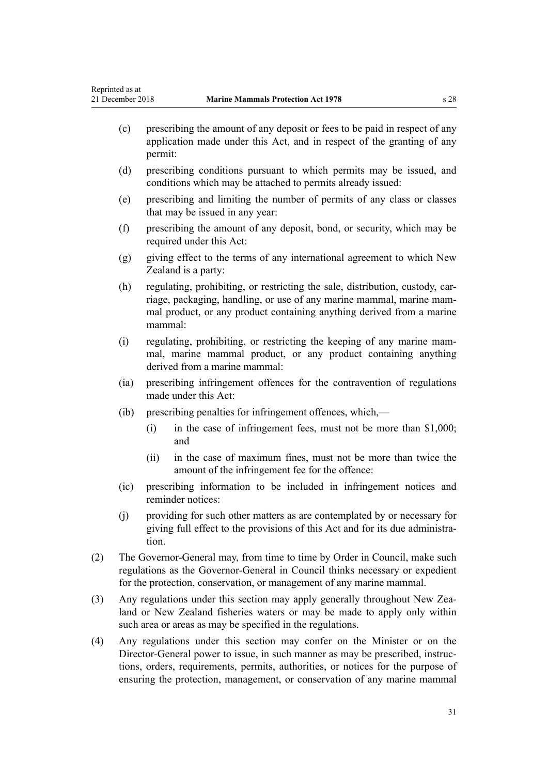- (c) prescribing the amount of any deposit or fees to be paid in respect of any application made under this Act, and in respect of the granting of any permit:
- (d) prescribing conditions pursuant to which permits may be issued, and conditions which may be attached to permits already issued:
- (e) prescribing and limiting the number of permits of any class or classes that may be issued in any year:
- (f) prescribing the amount of any deposit, bond, or security, which may be required under this Act:
- $(g)$  giving effect to the terms of any international agreement to which New Zealand is a party:
- (h) regulating, prohibiting, or restricting the sale, distribution, custody, carriage, packaging, handling, or use of any marine mammal, marine mammal product, or any product containing anything derived from a marine mammal:
- (i) regulating, prohibiting, or restricting the keeping of any marine mammal, marine mammal product, or any product containing anything derived from a marine mammal:
- (ia) prescribing infringement offences for the contravention of regulations made under this Act:
- (ib) prescribing penalties for infringement offences, which,—
	- (i) in the case of infringement fees, must not be more than \$1,000; and
	- (ii) in the case of maximum fines, must not be more than twice the amount of the infringement fee for the offence:
- (ic) prescribing information to be included in infringement notices and reminder notices:
- (j) providing for such other matters as are contemplated by or necessary for giving full effect to the provisions of this Act and for its due administration.
- (2) The Governor-General may, from time to time by Order in Council, make such regulations as the Governor-General in Council thinks necessary or expedient for the protection, conservation, or management of any marine mammal.
- (3) Any regulations under this section may apply generally throughout New Zealand or New Zealand fisheries waters or may be made to apply only within such area or areas as may be specified in the regulations.
- (4) Any regulations under this section may confer on the Minister or on the Director-General power to issue, in such manner as may be prescribed, instructions, orders, requirements, permits, authorities, or notices for the purpose of ensuring the protection, management, or conservation of any marine mammal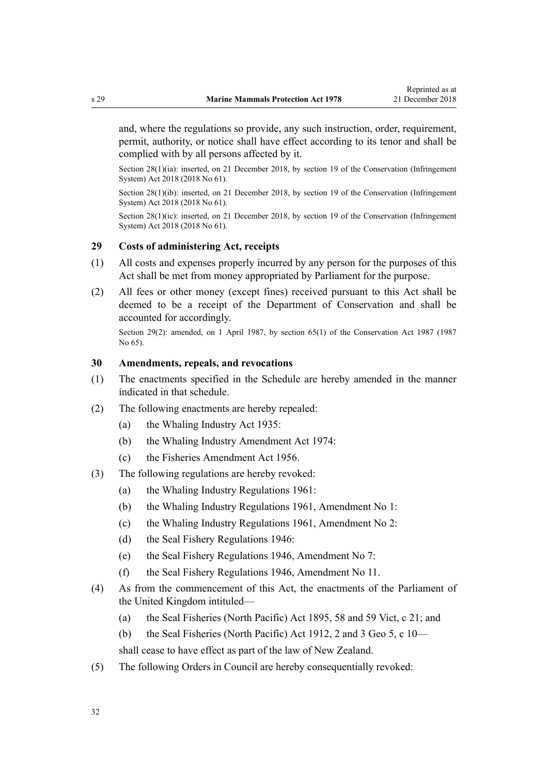<span id="page-31-0"></span>and, where the regulations so provide, any such instruction, order, requirement, permit, authority, or notice shall have effect according to its tenor and shall be complied with by all persons affected by it.

Section 28(1)(ia): inserted, on 21 December 2018, by [section 19](http://legislation.govt.nz/pdflink.aspx?id=DLM7116206) of the Conservation (Infringement System) Act 2018 (2018 No 61).

Section 28(1)(ib): inserted, on 21 December 2018, by [section 19](http://legislation.govt.nz/pdflink.aspx?id=DLM7116206) of the Conservation (Infringement System) Act 2018 (2018 No 61).

Section 28(1)(ic): inserted, on 21 December 2018, by [section 19](http://legislation.govt.nz/pdflink.aspx?id=DLM7116206) of the Conservation (Infringement System) Act 2018 (2018 No 61).

## **29 Costs of administering Act, receipts**

- (1) All costs and expenses properly incurred by any person for the purposes of this Act shall be met from money appropriated by Parliament for the purpose.
- (2) All fees or other money (except fines) received pursuant to this Act shall be deemed to be a receipt of the Department of Conservation and shall be accounted for accordingly.

Section 29(2): amended, on 1 April 1987, by [section 65\(1\)](http://legislation.govt.nz/pdflink.aspx?id=DLM106995) of the Conservation Act 1987 (1987 No 65).

## **30 Amendments, repeals, and revocations**

- (1) The enactments specified in the [Schedule](#page-33-0) are hereby amended in the manner indicated in that schedule.
- (2) The following enactments are hereby repealed:
	- (a) the Whaling Industry Act 1935:
	- (b) the Whaling Industry Amendment Act 1974:
	- (c) the Fisheries Amendment Act 1956.
- (3) The following regulations are hereby revoked:
	- (a) the Whaling Industry Regulations 1961:
	- (b) the Whaling Industry Regulations 1961, Amendment No 1:
	- (c) the Whaling Industry Regulations 1961, Amendment No 2:
	- (d) the Seal Fishery Regulations 1946:
	- (e) the Seal Fishery Regulations 1946, Amendment No 7:
	- (f) the Seal Fishery Regulations 1946, Amendment No 11.
- (4) As from the commencement of this Act, the enactments of the Parliament of the United Kingdom intituled—
	- (a) the Seal Fisheries (North Pacific) Act 1895, 58 and 59 Vict, c 21; and
	- (b) the Seal Fisheries (North Pacific) Act 1912, 2 and 3 Geo 5, c 10—

shall cease to have effect as part of the law of New Zealand.

(5) The following Orders in Council are hereby consequentially revoked: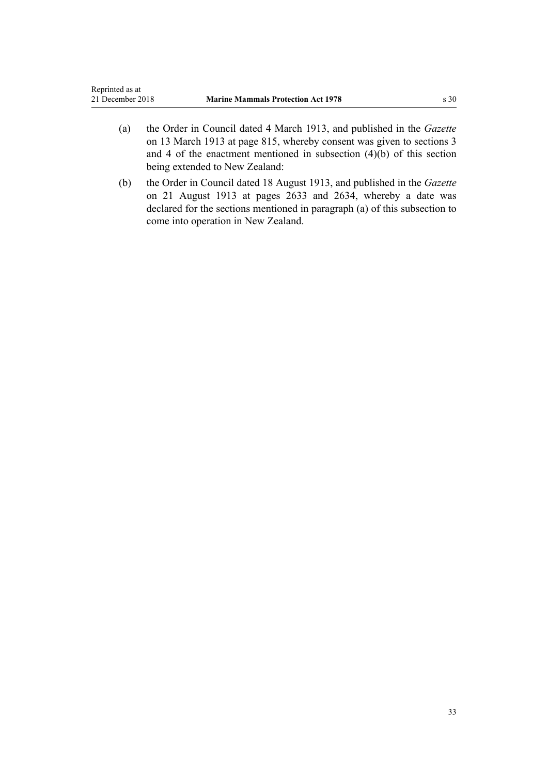- (a) the Order in Council dated 4 March 1913, and published in the *Gazette* on 13 March 1913 at page 815, whereby consent was given to sections 3 and 4 of the enactment mentioned in subsection (4)(b) of this section being extended to New Zealand:
- (b) the Order in Council dated 18 August 1913, and published in the *Gazette* on 21 August 1913 at pages 2633 and 2634, whereby a date was declared for the sections mentioned in paragraph (a) of this subsection to come into operation in New Zealand.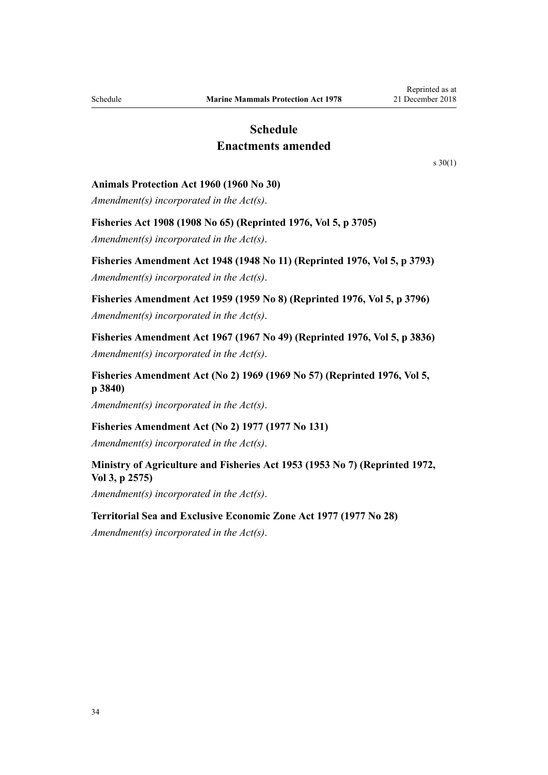## **Schedule Enactments amended**

[s 30\(1\)](#page-31-0)

#### <span id="page-33-0"></span>**Animals Protection Act 1960 (1960 No 30)**

*Amendment(s) incorporated in the Act(s)*.

## **Fisheries Act 1908 (1908 No 65) (Reprinted 1976, Vol 5, p 3705)**

*Amendment(s) incorporated in the Act(s)*.

**Fisheries Amendment Act 1948 (1948 No 11) (Reprinted 1976, Vol 5, p 3793)** *Amendment(s) incorporated in the Act(s)*.

**Fisheries Amendment Act 1959 (1959 No 8) (Reprinted 1976, Vol 5, p 3796)** *Amendment(s) incorporated in the Act(s)*.

**Fisheries Amendment Act 1967 (1967 No 49) (Reprinted 1976, Vol 5, p 3836)** *Amendment(s) incorporated in the Act(s)*.

**Fisheries Amendment Act (No 2) 1969 (1969 No 57) (Reprinted 1976, Vol 5, p 3840)**

*Amendment(s) incorporated in the Act(s)*.

## **Fisheries Amendment Act (No 2) 1977 (1977 No 131)**

*Amendment(s) incorporated in the Act(s)*.

## **Ministry of Agriculture and Fisheries Act 1953 (1953 No 7) (Reprinted 1972, Vol 3, p 2575)**

*Amendment(s) incorporated in the Act(s)*.

#### **Territorial Sea and Exclusive Economic Zone Act 1977 (1977 No 28)**

*Amendment(s) incorporated in the [Act\(s\)](http://legislation.govt.nz/pdflink.aspx?id=DLM442578)*.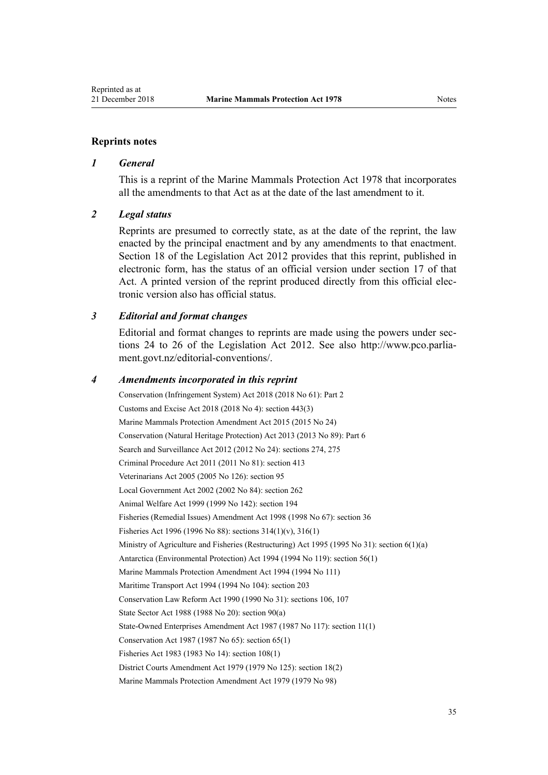#### **Reprints notes**

#### *1 General*

This is a reprint of the Marine Mammals Protection Act 1978 that incorporates all the amendments to that Act as at the date of the last amendment to it.

#### *2 Legal status*

Reprints are presumed to correctly state, as at the date of the reprint, the law enacted by the principal enactment and by any amendments to that enactment. [Section 18](http://legislation.govt.nz/pdflink.aspx?id=DLM2998516) of the Legislation Act 2012 provides that this reprint, published in electronic form, has the status of an official version under [section 17](http://legislation.govt.nz/pdflink.aspx?id=DLM2998515) of that Act. A printed version of the reprint produced directly from this official electronic version also has official status.

### *3 Editorial and format changes*

Editorial and format changes to reprints are made using the powers under [sec](http://legislation.govt.nz/pdflink.aspx?id=DLM2998532)[tions 24 to 26](http://legislation.govt.nz/pdflink.aspx?id=DLM2998532) of the Legislation Act 2012. See also [http://www.pco.parlia](http://www.pco.parliament.govt.nz/editorial-conventions/)[ment.govt.nz/editorial-conventions/](http://www.pco.parliament.govt.nz/editorial-conventions/).

#### *4 Amendments incorporated in this reprint*

Conservation (Infringement System) Act 2018 (2018 No 61): [Part 2](http://legislation.govt.nz/pdflink.aspx?id=DLM7116186) Customs and Excise Act 2018 (2018 No 4): [section 443\(3\)](http://legislation.govt.nz/pdflink.aspx?id=DLM7039957) [Marine Mammals Protection Amendment Act 2015](http://legislation.govt.nz/pdflink.aspx?id=DLM6413200) (2015 No 24) Conservation (Natural Heritage Protection) Act 2013 (2013 No 89): [Part 6](http://legislation.govt.nz/pdflink.aspx?id=DLM5469533) Search and Surveillance Act 2012 (2012 No 24): [sections 274,](http://legislation.govt.nz/pdflink.aspx?id=DLM4356800) [275](http://legislation.govt.nz/pdflink.aspx?id=DLM2137023) Criminal Procedure Act 2011 (2011 No 81): [section 413](http://legislation.govt.nz/pdflink.aspx?id=DLM3360714) Veterinarians Act 2005 (2005 No 126): [section 95](http://legislation.govt.nz/pdflink.aspx?id=DLM364659) Local Government Act 2002 (2002 No 84): [section 262](http://legislation.govt.nz/pdflink.aspx?id=DLM174088) Animal Welfare Act 1999 (1999 No 142): [section 194](http://legislation.govt.nz/pdflink.aspx?id=DLM51965) Fisheries (Remedial Issues) Amendment Act 1998 (1998 No 67): [section 36](http://legislation.govt.nz/pdflink.aspx?id=DLM427273) Fisheries Act 1996 (1996 No 88): [sections 314\(1\)\(v\)](http://legislation.govt.nz/pdflink.aspx?id=DLM399971), [316\(1\)](http://legislation.govt.nz/pdflink.aspx?id=DLM399975) Ministry of Agriculture and Fisheries (Restructuring) Act 1995 (1995 No 31): [section 6\(1\)\(a\)](http://legislation.govt.nz/pdflink.aspx?id=DLM366838) Antarctica (Environmental Protection) Act 1994 (1994 No 119): [section 56\(1\)](http://legislation.govt.nz/pdflink.aspx?id=DLM343623) Marine Mammals Protection Amendment Act 1994 (1994 No 111) Maritime Transport Act 1994 (1994 No 104): [section 203](http://legislation.govt.nz/pdflink.aspx?id=DLM336920) Conservation Law Reform Act 1990 (1990 No 31): [sections 106,](http://legislation.govt.nz/pdflink.aspx?id=DLM209173) [107](http://legislation.govt.nz/pdflink.aspx?id=DLM209182) State Sector Act 1988 (1988 No 20): [section 90\(a\)](http://legislation.govt.nz/pdflink.aspx?id=DLM130377) State-Owned Enterprises Amendment Act 1987 (1987 No 117): section 11(1) Conservation Act 1987 (1987 No 65): [section 65\(1\)](http://legislation.govt.nz/pdflink.aspx?id=DLM106995) Fisheries Act 1983 (1983 No 14): [section 108\(1\)](http://legislation.govt.nz/pdflink.aspx?id=DLM70539) District Courts Amendment Act 1979 (1979 No 125): [section 18\(2\)](http://legislation.govt.nz/pdflink.aspx?id=DLM35085) Marine Mammals Protection Amendment Act 1979 (1979 No 98)